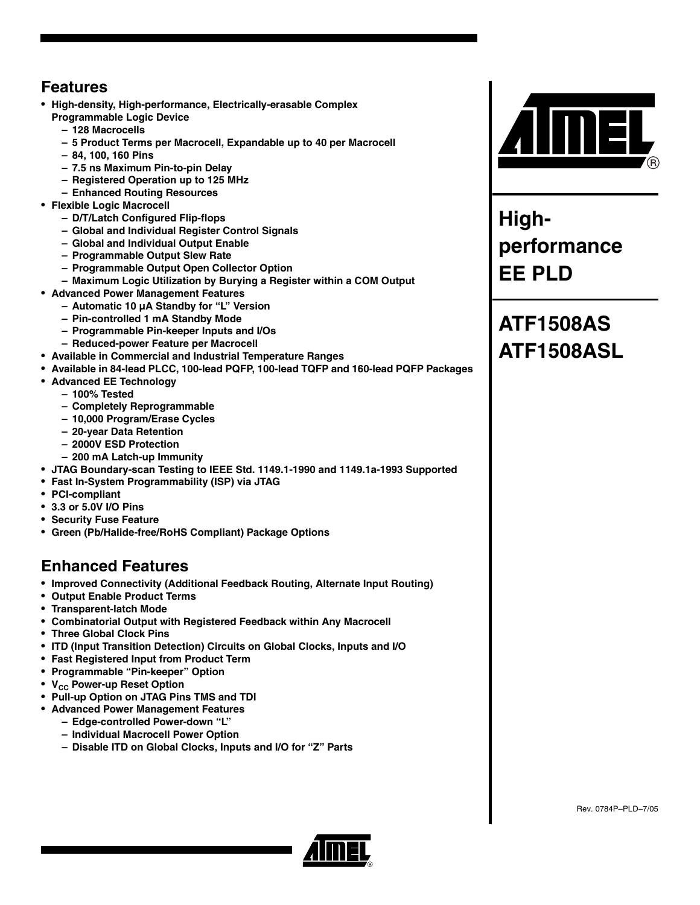#### **Features**

- **High-density, High-performance, Electrically-erasable Complex Programmable Logic Device**
	- **128 Macrocells**
	- **5 Product Terms per Macrocell, Expandable up to 40 per Macrocell**
	- **84, 100, 160 Pins**
	- **7.5 ns Maximum Pin-to-pin Delay**
	- **Registered Operation up to 125 MHz**
	- **Enhanced Routing Resources**
- **Flexible Logic Macrocell**
	- **D/T/Latch Configured Flip-flops**
	- **Global and Individual Register Control Signals**
	- **Global and Individual Output Enable**
	- **Programmable Output Slew Rate**
	- **Programmable Output Open Collector Option**
	- **Maximum Logic Utilization by Burying a Register within a COM Output**
- **Advanced Power Management Features**
	- **Automatic 10 µA Standby for "L" Version**
	- **Pin-controlled 1 mA Standby Mode**
	- **Programmable Pin-keeper Inputs and I/Os**
	- **Reduced-power Feature per Macrocell**
- **Available in Commercial and Industrial Temperature Ranges**
- **Available in 84-lead PLCC, 100-lead PQFP, 100-lead TQFP and 160-lead PQFP Packages**
- **Advanced EE Technology**
	- **100% Tested**
	- **Completely Reprogrammable**
	- **10,000 Program/Erase Cycles**
	- **20-year Data Retention**
	- **2000V ESD Protection**
	- **200 mA Latch-up Immunity**
- **JTAG Boundary-scan Testing to IEEE Std. 1149.1-1990 and 1149.1a-1993 Supported**
- **Fast In-System Programmability (ISP) via JTAG**
- **PCI-compliant**
- **3.3 or 5.0V I/O Pins**
- **Security Fuse Feature**
- **Green (Pb/Halide-free/RoHS Compliant) Package Options**

#### **Enhanced Features**

- **Improved Connectivity (Additional Feedback Routing, Alternate Input Routing)**
- **Output Enable Product Terms**
- **Transparent-latch Mode**
- **Combinatorial Output with Registered Feedback within Any Macrocell**
- **Three Global Clock Pins**
- **ITD (Input Transition Detection) Circuits on Global Clocks, Inputs and I/O**
- **Fast Registered Input from Product Term**
- **Programmable "Pin-keeper" Option**
- **V<sub>CC</sub> Power-up Reset Option**
- **Pull-up Option on JTAG Pins TMS and TDI**
- **Advanced Power Management Features**
	- **Edge-controlled Power-down "L"**
	- **Individual Macrocell Power Option**
	- **Disable ITD on Global Clocks, Inputs and I/O for "Z" Parts**



**Highperformance EE PLD**

## **ATF1508AS ATF1508ASL**

Rev. 0784P–PLD–7/05

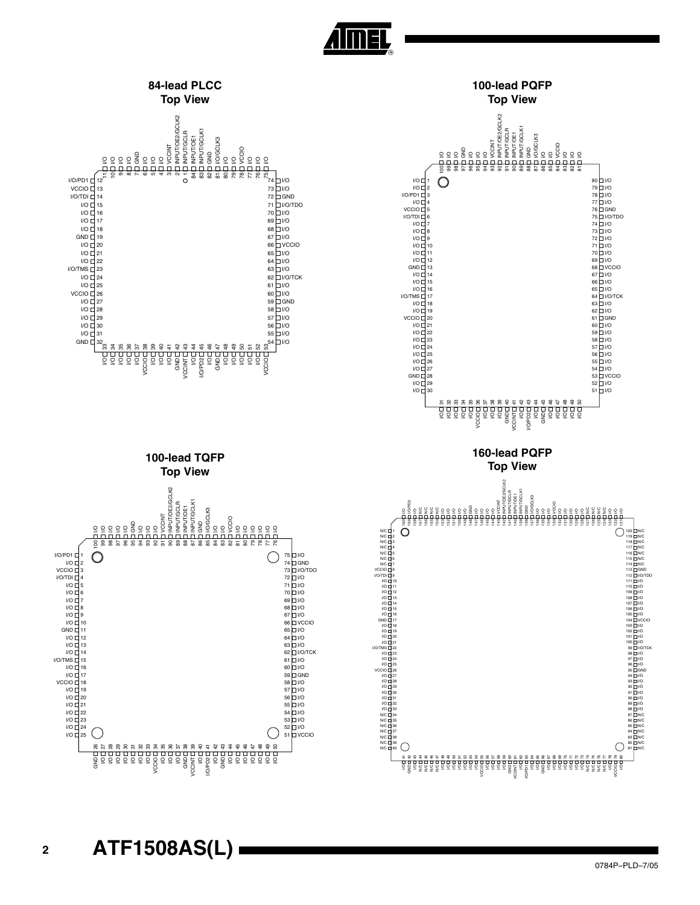



**Almel**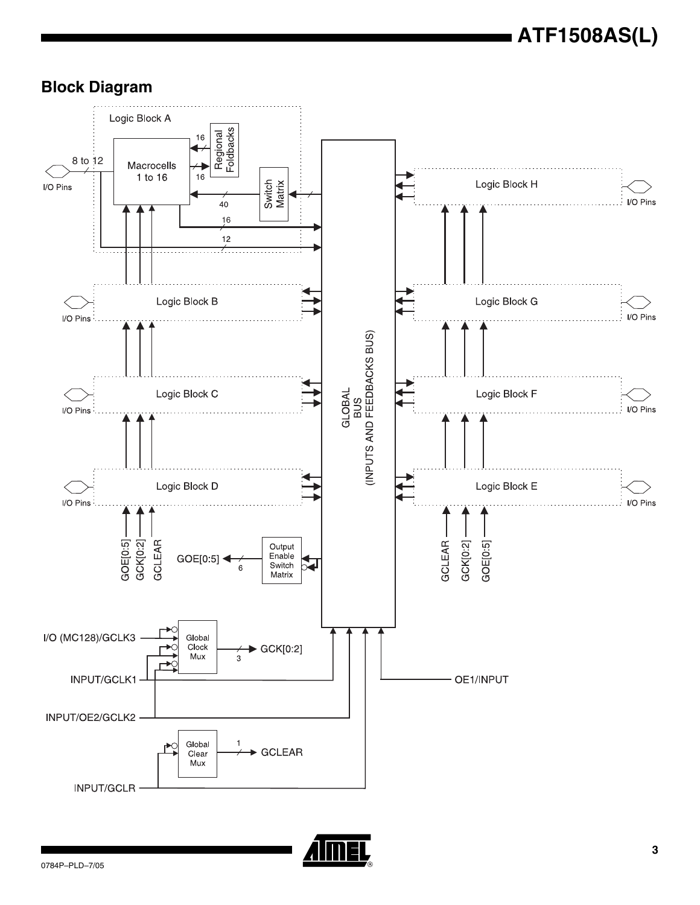

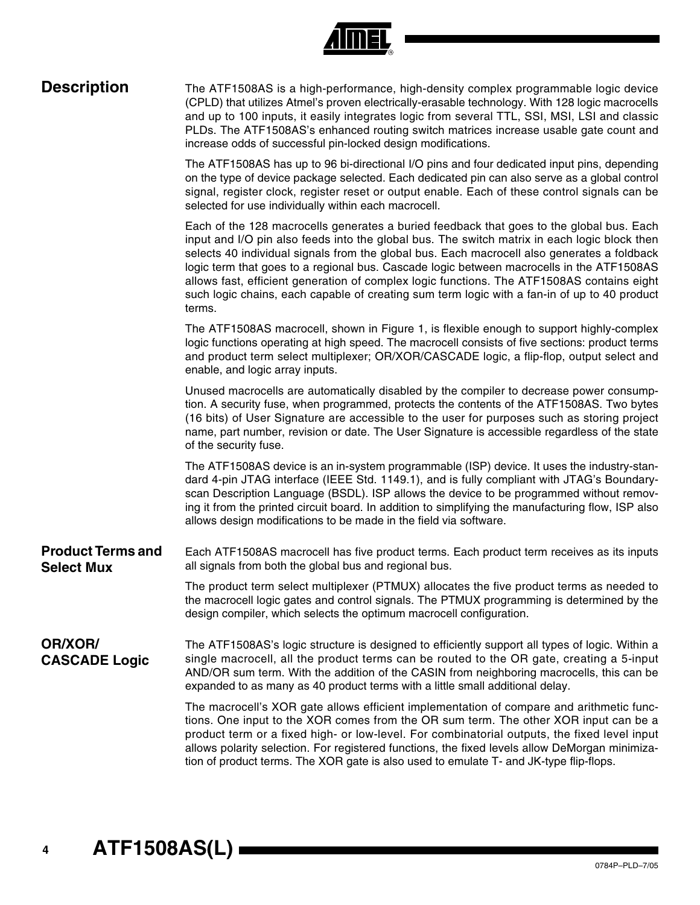| <b>Description</b>                            | The ATF1508AS is a high-performance, high-density complex programmable logic device<br>(CPLD) that utilizes Atmel's proven electrically-erasable technology. With 128 logic macrocells<br>and up to 100 inputs, it easily integrates logic from several TTL, SSI, MSI, LSI and classic<br>PLDs. The ATF1508AS's enhanced routing switch matrices increase usable gate count and<br>increase odds of successful pin-locked design modifications.                                                                                                                                              |
|-----------------------------------------------|----------------------------------------------------------------------------------------------------------------------------------------------------------------------------------------------------------------------------------------------------------------------------------------------------------------------------------------------------------------------------------------------------------------------------------------------------------------------------------------------------------------------------------------------------------------------------------------------|
|                                               | The ATF1508AS has up to 96 bi-directional I/O pins and four dedicated input pins, depending<br>on the type of device package selected. Each dedicated pin can also serve as a global control<br>signal, register clock, register reset or output enable. Each of these control signals can be<br>selected for use individually within each macrocell.                                                                                                                                                                                                                                        |
|                                               | Each of the 128 macrocells generates a buried feedback that goes to the global bus. Each<br>input and I/O pin also feeds into the global bus. The switch matrix in each logic block then<br>selects 40 individual signals from the global bus. Each macrocell also generates a foldback<br>logic term that goes to a regional bus. Cascade logic between macrocells in the ATF1508AS<br>allows fast, efficient generation of complex logic functions. The ATF1508AS contains eight<br>such logic chains, each capable of creating sum term logic with a fan-in of up to 40 product<br>terms. |
|                                               | The ATF1508AS macrocell, shown in Figure 1, is flexible enough to support highly-complex<br>logic functions operating at high speed. The macrocell consists of five sections: product terms<br>and product term select multiplexer; OR/XOR/CASCADE logic, a flip-flop, output select and<br>enable, and logic array inputs.                                                                                                                                                                                                                                                                  |
|                                               | Unused macrocells are automatically disabled by the compiler to decrease power consump-<br>tion. A security fuse, when programmed, protects the contents of the ATF1508AS. Two bytes<br>(16 bits) of User Signature are accessible to the user for purposes such as storing project<br>name, part number, revision or date. The User Signature is accessible regardless of the state<br>of the security fuse.                                                                                                                                                                                |
|                                               | The ATF1508AS device is an in-system programmable (ISP) device. It uses the industry-stan-<br>dard 4-pin JTAG interface (IEEE Std. 1149.1), and is fully compliant with JTAG's Boundary-<br>scan Description Language (BSDL). ISP allows the device to be programmed without remov-<br>ing it from the printed circuit board. In addition to simplifying the manufacturing flow, ISP also<br>allows design modifications to be made in the field via software.                                                                                                                               |
| <b>Product Terms and</b><br><b>Select Mux</b> | Each ATF1508AS macrocell has five product terms. Each product term receives as its inputs<br>all signals from both the global bus and regional bus.                                                                                                                                                                                                                                                                                                                                                                                                                                          |
|                                               | The product term select multiplexer (PTMUX) allocates the five product terms as needed to<br>the macrocell logic gates and control signals. The PTMUX programming is determined by the<br>design compiler, which selects the optimum macrocell configuration.                                                                                                                                                                                                                                                                                                                                |
| OR/XOR/<br><b>CASCADE Logic</b>               | The ATF1508AS's logic structure is designed to efficiently support all types of logic. Within a<br>single macrocell, all the product terms can be routed to the OR gate, creating a 5-input<br>AND/OR sum term. With the addition of the CASIN from neighboring macrocells, this can be<br>expanded to as many as 40 product terms with a little small additional delay.                                                                                                                                                                                                                     |
|                                               | The macrocell's XOR gate allows efficient implementation of compare and arithmetic func-<br>tions. One input to the XOR comes from the OR sum term. The other XOR input can be a<br>product term or a fixed high- or low-level. For combinatorial outputs, the fixed level input<br>allows polarity selection. For registered functions, the fixed levels allow DeMorgan minimiza-<br>tion of product terms. The XOR gate is also used to emulate T- and JK-type flip-flops.                                                                                                                 |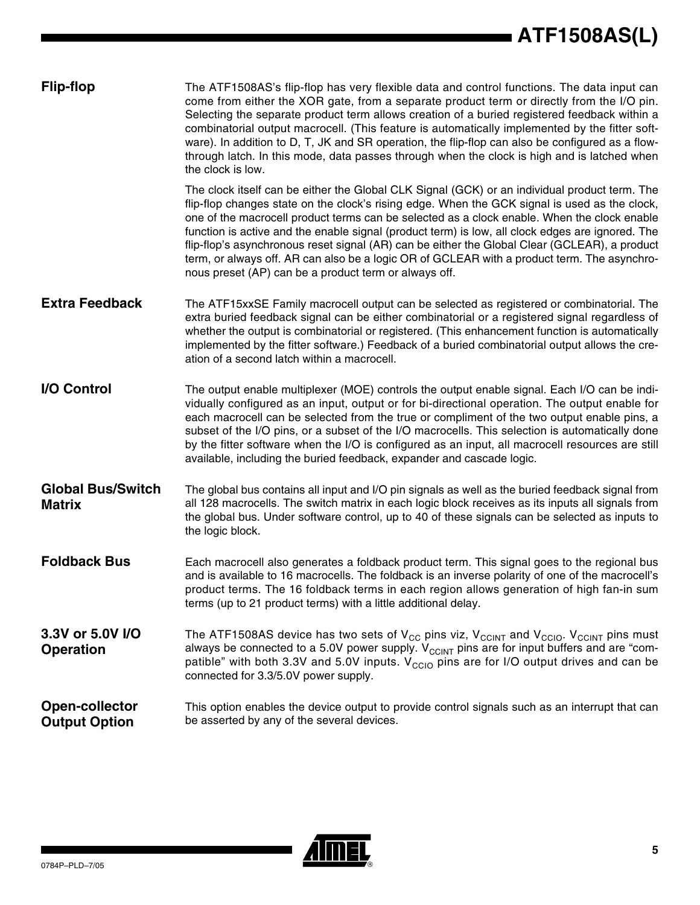| <b>Flip-flop</b>                              | The ATF1508AS's flip-flop has very flexible data and control functions. The data input can<br>come from either the XOR gate, from a separate product term or directly from the I/O pin.<br>Selecting the separate product term allows creation of a buried registered feedback within a<br>combinatorial output macrocell. (This feature is automatically implemented by the fitter soft-<br>ware). In addition to D, T, JK and SR operation, the flip-flop can also be configured as a flow-<br>through latch. In this mode, data passes through when the clock is high and is latched when<br>the clock is low.                                          |
|-----------------------------------------------|------------------------------------------------------------------------------------------------------------------------------------------------------------------------------------------------------------------------------------------------------------------------------------------------------------------------------------------------------------------------------------------------------------------------------------------------------------------------------------------------------------------------------------------------------------------------------------------------------------------------------------------------------------|
|                                               | The clock itself can be either the Global CLK Signal (GCK) or an individual product term. The<br>flip-flop changes state on the clock's rising edge. When the GCK signal is used as the clock,<br>one of the macrocell product terms can be selected as a clock enable. When the clock enable<br>function is active and the enable signal (product term) is low, all clock edges are ignored. The<br>flip-flop's asynchronous reset signal (AR) can be either the Global Clear (GCLEAR), a product<br>term, or always off. AR can also be a logic OR of GCLEAR with a product term. The asynchro-<br>nous preset (AP) can be a product term or always off. |
| <b>Extra Feedback</b>                         | The ATF15xxSE Family macrocell output can be selected as registered or combinatorial. The<br>extra buried feedback signal can be either combinatorial or a registered signal regardless of<br>whether the output is combinatorial or registered. (This enhancement function is automatically<br>implemented by the fitter software.) Feedback of a buried combinatorial output allows the cre-<br>ation of a second latch within a macrocell.                                                                                                                                                                                                              |
| I/O Control                                   | The output enable multiplexer (MOE) controls the output enable signal. Each I/O can be indi-<br>vidually configured as an input, output or for bi-directional operation. The output enable for<br>each macrocell can be selected from the true or compliment of the two output enable pins, a<br>subset of the I/O pins, or a subset of the I/O macrocells. This selection is automatically done<br>by the fitter software when the I/O is configured as an input, all macrocell resources are still<br>available, including the buried feedback, expander and cascade logic.                                                                              |
| <b>Global Bus/Switch</b><br><b>Matrix</b>     | The global bus contains all input and I/O pin signals as well as the buried feedback signal from<br>all 128 macrocells. The switch matrix in each logic block receives as its inputs all signals from<br>the global bus. Under software control, up to 40 of these signals can be selected as inputs to<br>the logic block.                                                                                                                                                                                                                                                                                                                                |
| <b>Foldback Bus</b>                           | Each macrocell also generates a foldback product term. This signal goes to the regional bus<br>and is available to 16 macrocells. The foldback is an inverse polarity of one of the macrocell's<br>product terms. The 16 foldback terms in each region allows generation of high fan-in sum<br>terms (up to 21 product terms) with a little additional delay.                                                                                                                                                                                                                                                                                              |
| 3.3V or 5.0V I/O<br><b>Operation</b>          | The ATF1508AS device has two sets of V <sub>CC</sub> pins viz, V <sub>CCINT</sub> and V <sub>CCIO</sub> . V <sub>CCINT</sub> pins must<br>always be connected to a 5.0V power supply. $V_{C CINT}$ pins are for input buffers and are "com-<br>patible" with both 3.3V and 5.0V inputs. $V_{\text{CCIO}}$ pins are for I/O output drives and can be<br>connected for 3.3/5.0V power supply.                                                                                                                                                                                                                                                                |
| <b>Open-collector</b><br><b>Output Option</b> | This option enables the device output to provide control signals such as an interrupt that can<br>be asserted by any of the several devices.                                                                                                                                                                                                                                                                                                                                                                                                                                                                                                               |

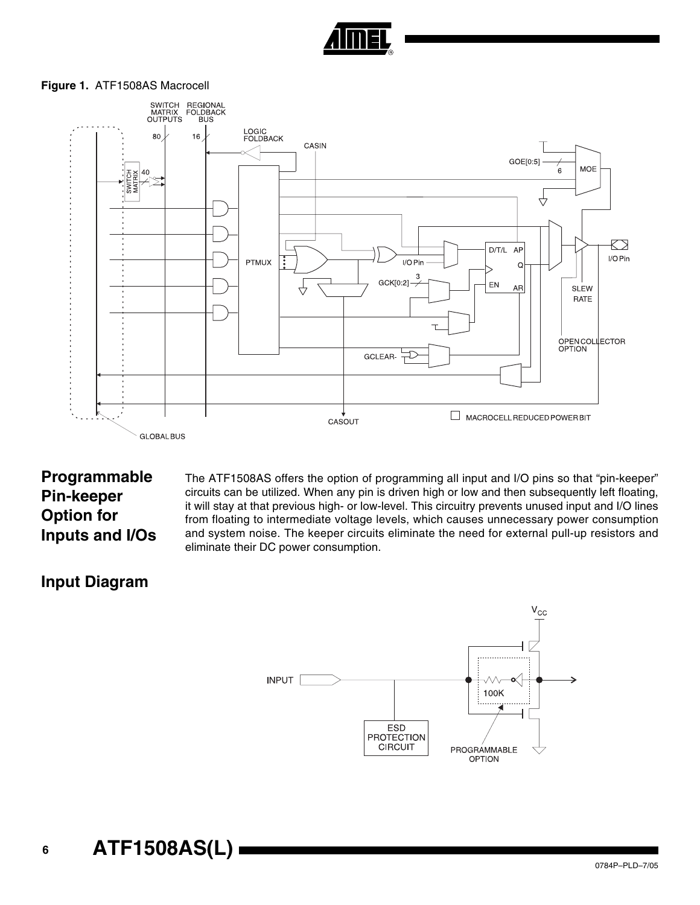

#### <span id="page-5-0"></span>**Figure 1.** ATF1508AS Macrocell



### **Programmable Pin-keeper Option for Inputs and I/Os**

The ATF1508AS offers the option of programming all input and I/O pins so that "pin-keeper" circuits can be utilized. When any pin is driven high or low and then subsequently left floating, it will stay at that previous high- or low-level. This circuitry prevents unused input and I/O lines from floating to intermediate voltage levels, which causes unnecessary power consumption and system noise. The keeper circuits eliminate the need for external pull-up resistors and eliminate their DC power consumption.

### **Input Diagram**

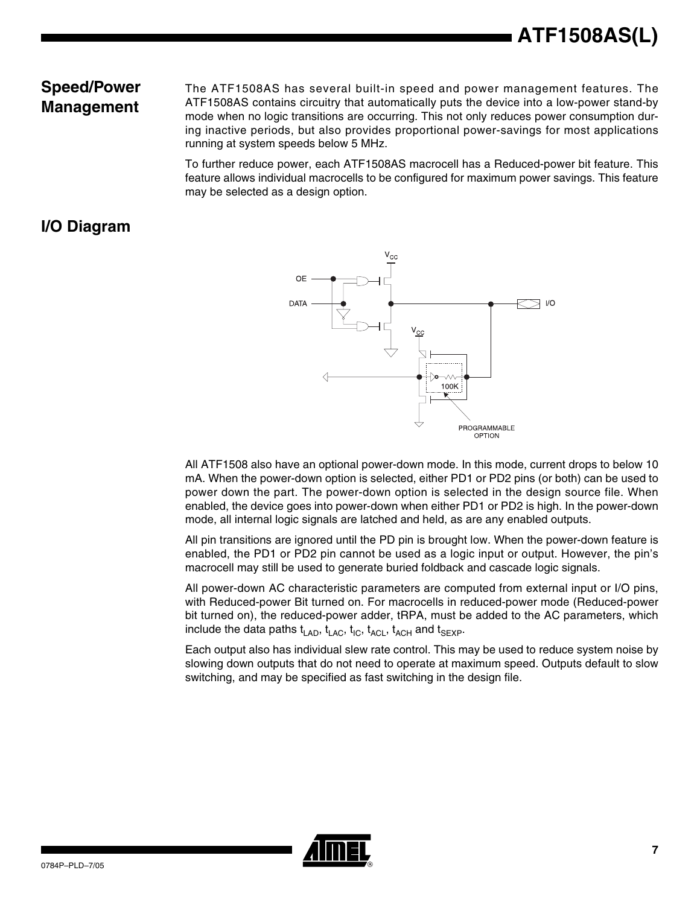### **Speed/Power Management**

The ATF1508AS has several built-in speed and power management features. The ATF1508AS contains circuitry that automatically puts the device into a low-power stand-by mode when no logic transitions are occurring. This not only reduces power consumption during inactive periods, but also provides proportional power-savings for most applications running at system speeds below 5 MHz.

To further reduce power, each ATF1508AS macrocell has a Reduced-power bit feature. This feature allows individual macrocells to be configured for maximum power savings. This feature may be selected as a design option.

### **I/O Diagram**



All ATF1508 also have an optional power-down mode. In this mode, current drops to below 10 mA. When the power-down option is selected, either PD1 or PD2 pins (or both) can be used to power down the part. The power-down option is selected in the design source file. When enabled, the device goes into power-down when either PD1 or PD2 is high. In the power-down mode, all internal logic signals are latched and held, as are any enabled outputs.

All pin transitions are ignored until the PD pin is brought low. When the power-down feature is enabled, the PD1 or PD2 pin cannot be used as a logic input or output. However, the pin's macrocell may still be used to generate buried foldback and cascade logic signals.

All power-down AC characteristic parameters are computed from external input or I/O pins, with Reduced-power Bit turned on. For macrocells in reduced-power mode (Reduced-power bit turned on), the reduced-power adder, tRPA, must be added to the AC parameters, which include the data paths  $t_{\text{LAD}}$ ,  $t_{\text{LAC}}$ ,  $t_{\text{ACL}}$ ,  $t_{\text{ACH}}$  and  $t_{\text{SEXP}}$ .

Each output also has individual slew rate control. This may be used to reduce system noise by slowing down outputs that do not need to operate at maximum speed. Outputs default to slow switching, and may be specified as fast switching in the design file.

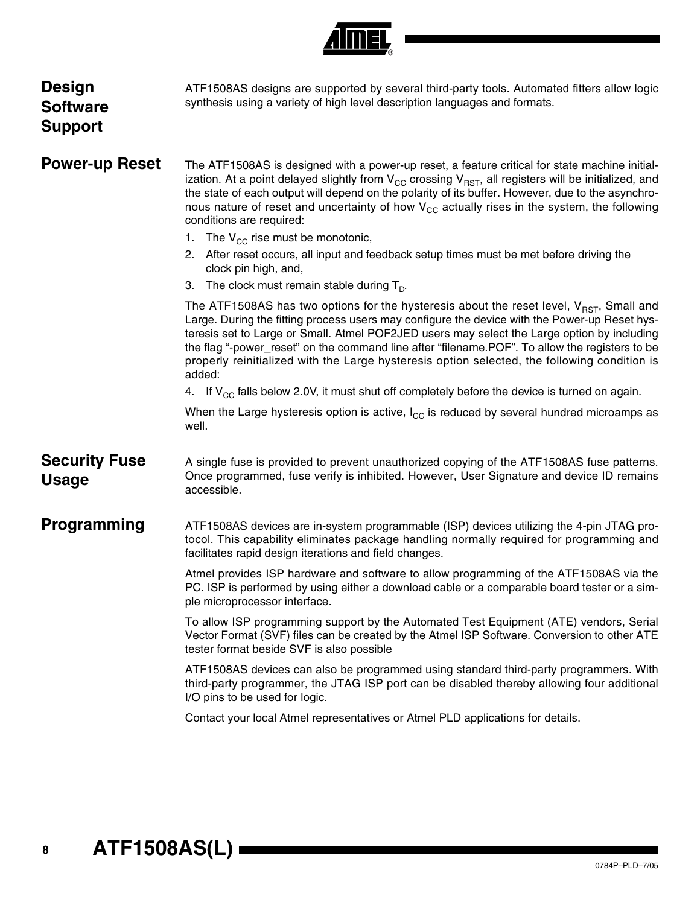| Design<br>Software<br>Support        | ATF1508AS designs are supported by several third-party tools. Automated fitters allow logic<br>synthesis using a variety of high level description languages and formats.                                                                                                                                                                                                                                                                                                                                 |
|--------------------------------------|-----------------------------------------------------------------------------------------------------------------------------------------------------------------------------------------------------------------------------------------------------------------------------------------------------------------------------------------------------------------------------------------------------------------------------------------------------------------------------------------------------------|
| <b>Power-up Reset</b>                | The ATF1508AS is designed with a power-up reset, a feature critical for state machine initial-<br>ization. At a point delayed slightly from $V_{CC}$ crossing $V_{RST}$ , all registers will be initialized, and<br>the state of each output will depend on the polarity of its buffer. However, due to the asynchro-<br>nous nature of reset and uncertainty of how $V_{\text{CC}}$ actually rises in the system, the following<br>conditions are required:                                              |
|                                      | 1. The $V_{CC}$ rise must be monotonic,                                                                                                                                                                                                                                                                                                                                                                                                                                                                   |
|                                      | 2. After reset occurs, all input and feedback setup times must be met before driving the<br>clock pin high, and,                                                                                                                                                                                                                                                                                                                                                                                          |
|                                      | The clock must remain stable during $T_{D}$ .<br>З.                                                                                                                                                                                                                                                                                                                                                                                                                                                       |
|                                      | The ATF1508AS has two options for the hysteresis about the reset level, $V_{RST}$ , Small and<br>Large. During the fitting process users may configure the device with the Power-up Reset hys-<br>teresis set to Large or Small. Atmel POF2JED users may select the Large option by including<br>the flag "-power_reset" on the command line after "filename.POF". To allow the registers to be<br>properly reinitialized with the Large hysteresis option selected, the following condition is<br>added: |
|                                      | 4. If $V_{\rm CC}$ falls below 2.0V, it must shut off completely before the device is turned on again.                                                                                                                                                                                                                                                                                                                                                                                                    |
|                                      | When the Large hysteresis option is active, $I_{CC}$ is reduced by several hundred microamps as<br>well.                                                                                                                                                                                                                                                                                                                                                                                                  |
| <b>Security Fuse</b><br><b>Usage</b> | A single fuse is provided to prevent unauthorized copying of the ATF1508AS fuse patterns.<br>Once programmed, fuse verify is inhibited. However, User Signature and device ID remains<br>accessible.                                                                                                                                                                                                                                                                                                      |
| Programming                          | ATF1508AS devices are in-system programmable (ISP) devices utilizing the 4-pin JTAG pro-<br>tocol. This capability eliminates package handling normally required for programming and<br>facilitates rapid design iterations and field changes.                                                                                                                                                                                                                                                            |
|                                      | Atmel provides ISP hardware and software to allow programming of the ATF1508AS via the<br>PC. ISP is performed by using either a download cable or a comparable board tester or a sim-<br>ple microprocessor interface.                                                                                                                                                                                                                                                                                   |
|                                      | To allow ISP programming support by the Automated Test Equipment (ATE) vendors, Serial<br>Vector Format (SVF) files can be created by the Atmel ISP Software. Conversion to other ATE<br>tester format beside SVF is also possible                                                                                                                                                                                                                                                                        |
|                                      | ATF1508AS devices can also be programmed using standard third-party programmers. With<br>third-party programmer, the JTAG ISP port can be disabled thereby allowing four additional<br>I/O pins to be used for logic.                                                                                                                                                                                                                                                                                     |
|                                      | Contact your local Atmel representatives or Atmel PLD applications for details.                                                                                                                                                                                                                                                                                                                                                                                                                           |
|                                      |                                                                                                                                                                                                                                                                                                                                                                                                                                                                                                           |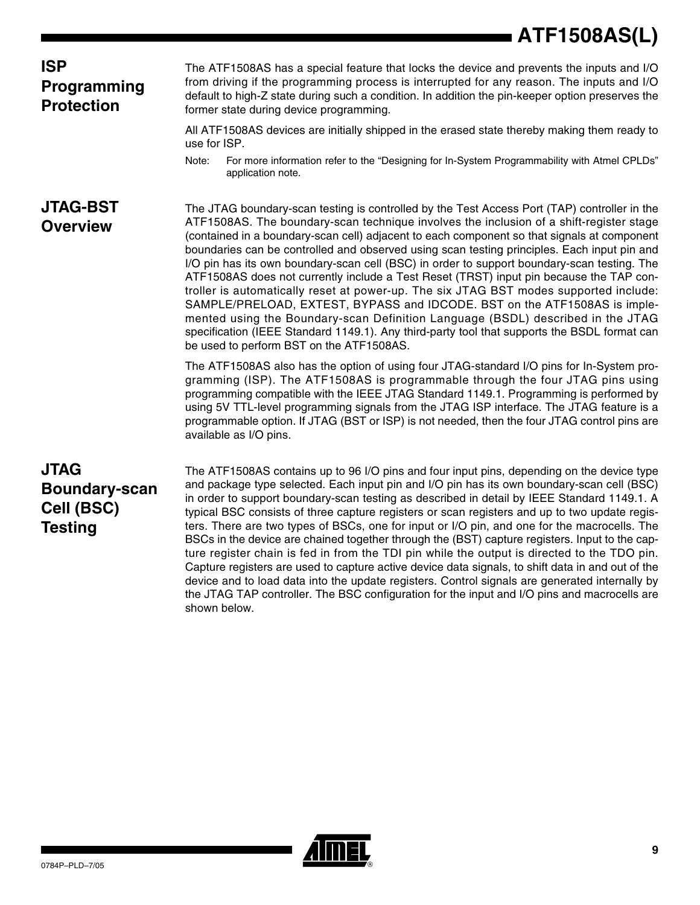#### **ISP Programming Protection**

The ATF1508AS has a special feature that locks the device and prevents the inputs and I/O from driving if the programming process is interrupted for any reason. The inputs and I/O default to high-Z state during such a condition. In addition the pin-keeper option preserves the former state during device programming.

All ATF1508AS devices are initially shipped in the erased state thereby making them ready to use for ISP.

Note: For more information refer to the "Designing for In-System Programmability with Atmel CPLDs" application note.

### **JTAG-BST Overview**

The JTAG boundary-scan testing is controlled by the Test Access Port (TAP) controller in the ATF1508AS. The boundary-scan technique involves the inclusion of a shift-register stage (contained in a boundary-scan cell) adjacent to each component so that signals at component boundaries can be controlled and observed using scan testing principles. Each input pin and I/O pin has its own boundary-scan cell (BSC) in order to support boundary-scan testing. The ATF1508AS does not currently include a Test Reset (TRST) input pin because the TAP controller is automatically reset at power-up. The six JTAG BST modes supported include: SAMPLE/PRELOAD, EXTEST, BYPASS and IDCODE. BST on the ATF1508AS is implemented using the Boundary-scan Definition Language (BSDL) described in the JTAG specification (IEEE Standard 1149.1). Any third-party tool that supports the BSDL format can be used to perform BST on the ATF1508AS.

The ATF1508AS also has the option of using four JTAG-standard I/O pins for In-System programming (ISP). The ATF1508AS is programmable through the four JTAG pins using programming compatible with the IEEE JTAG Standard 1149.1. Programming is performed by using 5V TTL-level programming signals from the JTAG ISP interface. The JTAG feature is a programmable option. If JTAG (BST or ISP) is not needed, then the four JTAG control pins are available as I/O pins.

### **JTAG Boundary-scan Cell (BSC) Testing**

The ATF1508AS contains up to 96 I/O pins and four input pins, depending on the device type and package type selected. Each input pin and I/O pin has its own boundary-scan cell (BSC) in order to support boundary-scan testing as described in detail by IEEE Standard 1149.1. A typical BSC consists of three capture registers or scan registers and up to two update registers. There are two types of BSCs, one for input or I/O pin, and one for the macrocells. The BSCs in the device are chained together through the (BST) capture registers. Input to the capture register chain is fed in from the TDI pin while the output is directed to the TDO pin. Capture registers are used to capture active device data signals, to shift data in and out of the device and to load data into the update registers. Control signals are generated internally by the JTAG TAP controller. The BSC configuration for the input and I/O pins and macrocells are shown below.

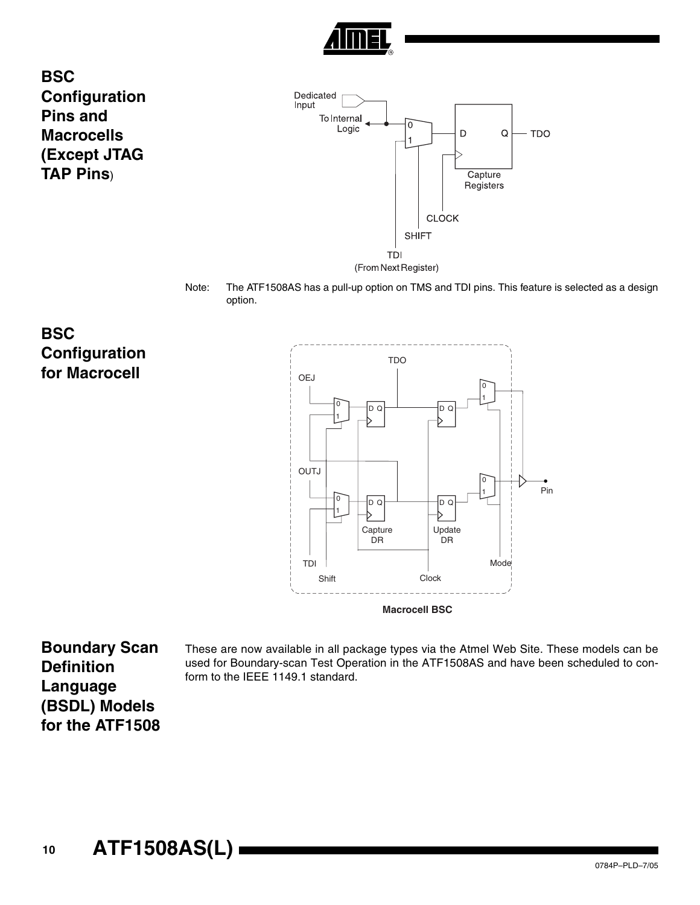

**BSC Configuration Pins and Macrocells (Except JTAG TAP Pins**)



Note: The ATF1508AS has a pull-up option on TMS and TDI pins. This feature is selected as a design option.

**BSC Configuration for Macrocell**



**Boundary Scan Definition Language (BSDL) Models for the ATF1508**

These are now available in all package types via the Atmel Web Site. These models can be used for Boundary-scan Test Operation in the ATF1508AS and have been scheduled to conform to the IEEE 1149.1 standard.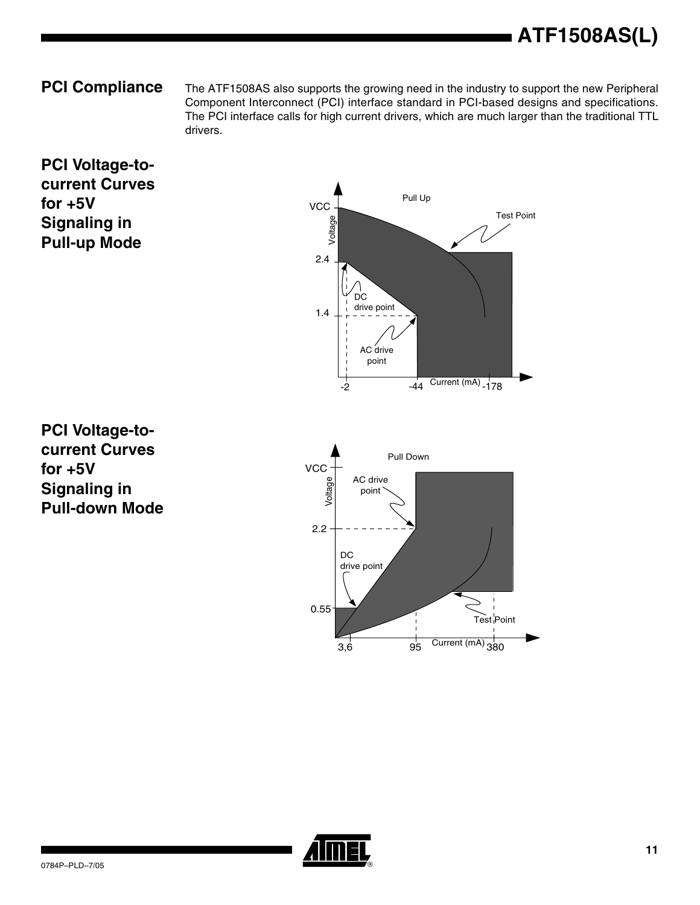**PCI Compliance** The ATF1508AS also supports the growing need in the industry to support the new Peripheral Component Interconnect (PCI) interface standard in PCI-based designs and specifications. The PCI interface calls for high current drivers, which are much larger than the traditional TTL drivers.

#### **PCI Voltage-tocurrent Curves for +5V Signaling in Pull-up Mode**



**PCI Voltage-tocurrent Curves for +5V Signaling in Pull-down Mode**



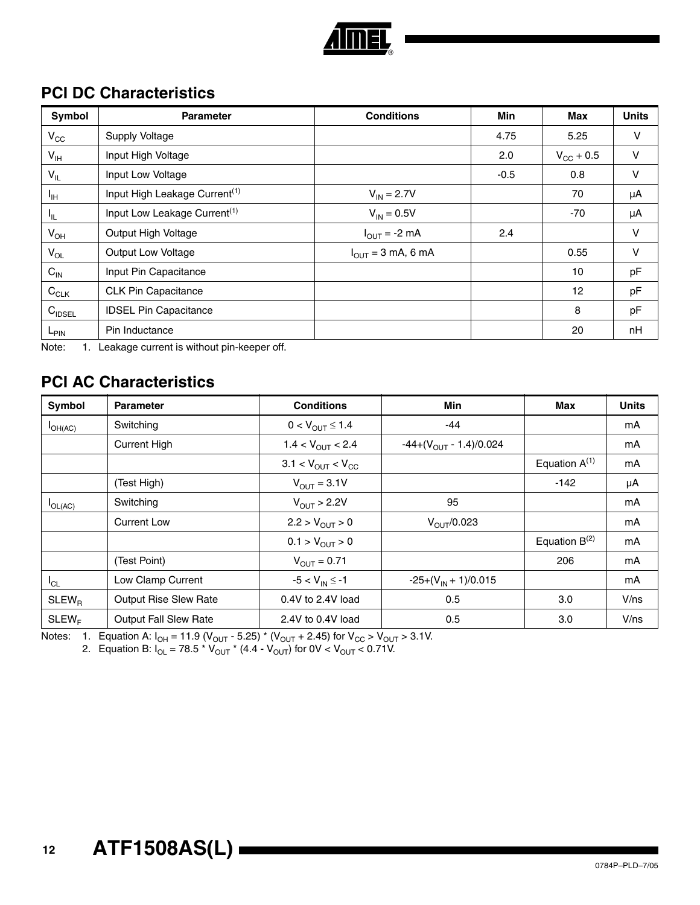

### **PCI DC Characteristics**

| <b>Symbol</b>      | <b>Parameter</b>                          | <b>Conditions</b>      | Min    | <b>Max</b>         | <b>Units</b> |
|--------------------|-------------------------------------------|------------------------|--------|--------------------|--------------|
| $V_{\rm CC}$       | Supply Voltage                            |                        | 4.75   | 5.25               | $\vee$       |
| $V_{\text{IH}}$    | Input High Voltage                        |                        | 2.0    | $V_{\rm CC}$ + 0.5 | V            |
| $V_{IL}$           | Input Low Voltage                         |                        | $-0.5$ | 0.8                | V            |
| $I_{\text{IH}}$    | Input High Leakage Current <sup>(1)</sup> | $V_{IN} = 2.7V$        |        | 70                 | μA           |
| IL.                | Input Low Leakage Current <sup>(1)</sup>  | $V_{IN} = 0.5V$        |        | -70                | μA           |
| $V_{OH}$           | Output High Voltage                       | $I_{OUT} = -2 mA$      | 2.4    |                    | V            |
| $V_{OL}$           | Output Low Voltage                        | $I_{OUT}$ = 3 mA, 6 mA |        | 0.55               | V            |
| $C_{\text{IN}}$    | Input Pin Capacitance                     |                        |        | 10                 | pF           |
| $C_{CLK}$          | <b>CLK Pin Capacitance</b>                |                        |        | 12                 | pF           |
| $C_{\text{IDSEL}}$ | <b>IDSEL Pin Capacitance</b>              |                        |        | 8                  | pF           |
| $L_{\text{PIN}}$   | Pin Inductance                            |                        |        | 20                 | nH           |

<span id="page-11-0"></span>Note: 1. Leakage current is without pin-keeper off.

### **PCI AC Characteristics**

| Symbol       | <b>Parameter</b>             | <b>Conditions</b>                      | <b>Min</b>                  | Max                | <b>Units</b> |
|--------------|------------------------------|----------------------------------------|-----------------------------|--------------------|--------------|
| $I_{OH(AC)}$ | Switching                    | $0 < V_{OUIT} \le 1.4$                 | -44                         |                    | mA           |
|              | <b>Current High</b>          | $1.4 < V_{OUIT} < 2.4$                 | $-44+(V_{OUT} - 1.4)/0.024$ |                    | mA           |
|              |                              | $3.1 < V_{\text{OUT}} < V_{\text{CC}}$ |                             | Equation $A^{(1)}$ | mA           |
|              | (Test High)                  | $V_{\text{OUT}} = 3.1V$                |                             | $-142$             | μA           |
| $I_{OL(AC)}$ | Switching                    | $V_{OUT}$ > 2.2V                       | 95                          |                    | mA           |
|              | <b>Current Low</b>           | $2.2 > V_{OUT} > 0$                    | $V_{\text{OUT}}/0.023$      |                    | mA           |
|              |                              | $0.1 > V_{OUT} > 0$                    |                             | Equation $B^{(2)}$ | mA           |
|              | (Test Point)                 | $V_{OUIT} = 0.71$                      |                             | 206                | mA           |
| $I_{CL}$     | Low Clamp Current            | $-5 < V_{IN} \le -1$                   | $-25+(V_{IN}+1)/0.015$      |                    | mA           |
| $SLEW_B$     | Output Rise Slew Rate        | 0.4V to 2.4V load                      | 0.5                         | 3.0                | V/ns         |
| $SLEW_F$     | <b>Output Fall Slew Rate</b> | 2.4V to 0.4V load                      | 0.5                         | 3.0                | V/ns         |

<span id="page-11-2"></span><span id="page-11-1"></span>Notes: 1. Equation A:  $I_{OH}$  = 11.9 (V<sub>OUT</sub> - 5.25) \* (V<sub>OUT</sub> + 2.45) for V<sub>CC</sub> > V<sub>OUT</sub> > 3.1V.

2. Equation B: I<sub>OL</sub> = 78.5 \* V<sub>OUT</sub> \* (4.4 - V<sub>OUT</sub>) for 0V < V<sub>OUT</sub> < 0.71V.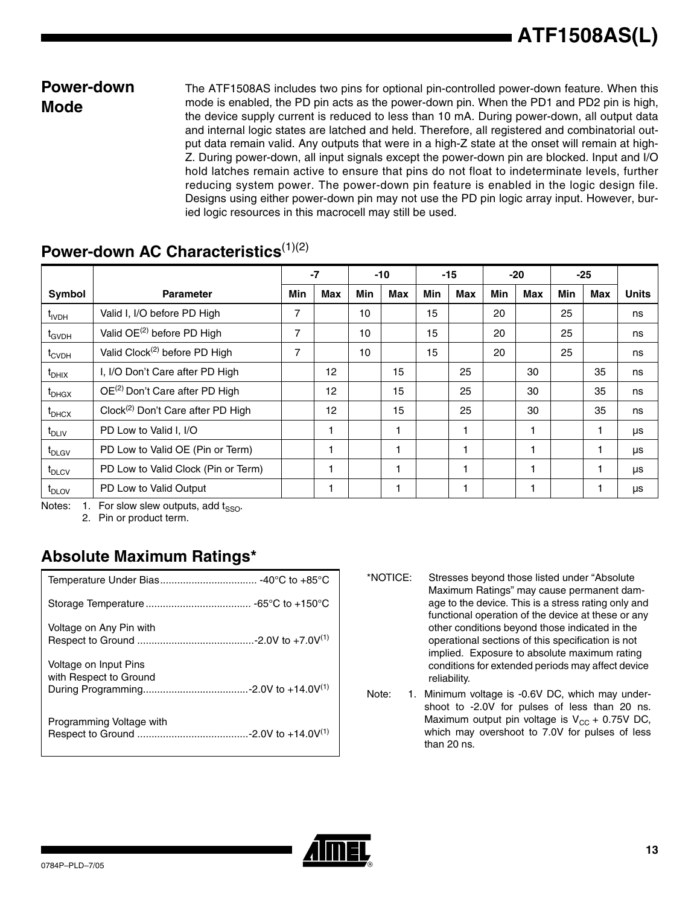#### **Power-down Mode**

The ATF1508AS includes two pins for optional pin-controlled power-down feature. When this mode is enabled, the PD pin acts as the power-down pin. When the PD1 and PD2 pin is high, the device supply current is reduced to less than 10 mA. During power-down, all output data and internal logic states are latched and held. Therefore, all registered and combinatorial output data remain valid. Any outputs that were in a high-Z state at the onset will remain at high-Z. During power-down, all input signals except the power-down pin are blocked. Input and I/O hold latches remain active to ensure that pins do not float to indeterminate levels, further reducing system power. The power-down pin feature is enabled in the logic design file. Designs using either power-down pin may not use the PD pin logic array input. However, buried logic resources in this macrocell may still be used.

|                                |                                               | $-7$ |     |     | $-10$ | $-15$ |     | $-20$ |     | $-25$      |     |              |
|--------------------------------|-----------------------------------------------|------|-----|-----|-------|-------|-----|-------|-----|------------|-----|--------------|
| Symbol                         | <b>Parameter</b>                              | Min  | Max | Min | Max   | Min   | Max | Min   | Max | <b>Min</b> | Max | <b>Units</b> |
| t <sub>ivDH</sub>              | Valid I, I/O before PD High                   | 7    |     | 10  |       | 15    |     | 20    |     | 25         |     | ns           |
| t <sub>GVDH</sub>              | Valid OE <sup>(2)</sup> before PD High        | 7    |     | 10  |       | 15    |     | 20    |     | 25         |     | ns           |
| $t_{\text{CVDH}}$              | Valid Clock <sup>(2)</sup> before PD High     | 7    |     | 10  |       | 15    |     | 20    |     | 25         |     | ns           |
| $\mathfrak{r}_{\mathrm{DHIX}}$ | I, I/O Don't Care after PD High               |      | 12  |     | 15    |       | 25  |       | 30  |            | 35  | ns           |
| $\mathfrak{r}_{\mathsf{DHGX}}$ | OE <sup>(2)</sup> Don't Care after PD High    |      | 12  |     | 15    |       | 25  |       | 30  |            | 35  | ns           |
| $t_{\text{DHCX}}$              | Clock <sup>(2)</sup> Don't Care after PD High |      | 12  |     | 15    |       | 25  |       | 30  |            | 35  | ns           |
| $t_{DLIV}$                     | PD Low to Valid I, I/O                        |      | 1   |     |       |       |     |       |     |            | 1   | μs           |
| t <sub>DLGV</sub>              | PD Low to Valid OE (Pin or Term)              |      |     |     |       |       |     |       |     |            |     | μs           |
| $t_{\text{DLCV}}$              | PD Low to Valid Clock (Pin or Term)           |      |     |     |       |       |     |       |     |            |     | μs           |
| $t_{\text{DLOV}}$              | PD Low to Valid Output                        |      |     |     |       |       |     |       |     |            |     | μs           |

#### **Power-down AC Characteristics**<sup>[\(1\)](#page-12-0)[\(2\)](#page-12-1)</sup>

<span id="page-12-1"></span><span id="page-12-0"></span>Notes: 1. For slow slew outputs, add  $t_{SSO}$ .

2. Pin or product term.

### **Absolute Maximum Ratings\***

| Voltage on Any Pin with                         |
|-------------------------------------------------|
| Voltage on Input Pins<br>with Respect to Ground |
| Programming Voltage with                        |

\*NOTICE: Stresses beyond those listed under "Absolute Maximum Ratings" may cause permanent damage to the device. This is a stress rating only and functional operation of the device at these or any other conditions beyond those indicated in the operational sections of this specification is not implied. Exposure to absolute maximum rating conditions for extended periods may affect device reliability.

Note: 1. Minimum voltage is -0.6V DC, which may undershoot to -2.0V for pulses of less than 20 ns. Maximum output pin voltage is  $V_{CC}$  + 0.75V DC, which may overshoot to 7.0V for pulses of less than 20 ns.

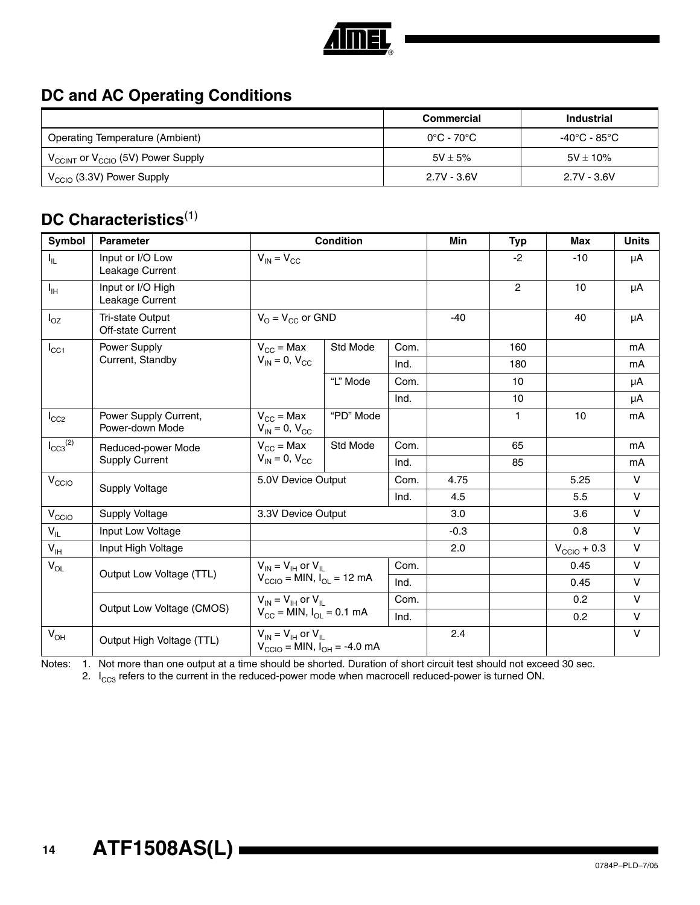

### **DC and AC Operating Conditions**

|                                                           | Commercial                      | <b>Industrial</b> |
|-----------------------------------------------------------|---------------------------------|-------------------|
| <b>Operating Temperature (Ambient)</b>                    | $0^{\circ}$ C - 70 $^{\circ}$ C | -40°C - 85°C      |
| $V_{\text{CCINT}}$ or $V_{\text{CCIO}}$ (5V) Power Supply | $5V \pm 5\%$                    | $5V \pm 10\%$     |
| $V_{\text{CCIO}}$ (3.3V) Power Supply                     | $2.7V - 3.6V$                   | $2.7V - 3.6V$     |

### **DC Characteristics**[\(1\)](#page-13-0)

| Symbol                     | <b>Parameter</b>                         |                                                                                                  | <b>Condition</b> |      | <b>Min</b> | <b>Typ</b>     | Max                     | <b>Units</b> |
|----------------------------|------------------------------------------|--------------------------------------------------------------------------------------------------|------------------|------|------------|----------------|-------------------------|--------------|
| $I_{IL}$                   | Input or I/O Low<br>Leakage Current      | $V_{IN} = V_{CC}$                                                                                |                  |      |            | $-2$           | $-10$                   | μA           |
| $I_{\text{IH}}$            | Input or I/O High<br>Leakage Current     |                                                                                                  |                  |      |            | $\overline{2}$ | 10                      | μA           |
| $I_{OZ}$                   | Tri-state Output<br>Off-state Current    | $V_{O} = V_{CC}$ or GND                                                                          |                  |      | $-40$      |                | 40                      | μA           |
| $I_{\rm CC1}$              | Power Supply                             | $V_{CC}$ = Max                                                                                   | Std Mode<br>Com. |      |            | 160            |                         | mA           |
|                            | Current, Standby                         | $V_{IN} = 0$ , $V_{CC}$                                                                          |                  | Ind. |            | 180            |                         | mA           |
|                            |                                          |                                                                                                  | "L" Mode         | Com. |            | 10             |                         | μA           |
|                            |                                          |                                                                                                  |                  | Ind. |            | 10             |                         | μA           |
| $I_{CC2}$                  | Power Supply Current,<br>Power-down Mode | $V_{CC}$ = Max<br>$V_{IN} = 0$ , $V_{CC}$                                                        | "PD" Mode        |      |            | 1              | 10                      | mA           |
| $I_{CC3}^{(2)}$            | Reduced-power Mode                       | $V_{CC}$ = Max                                                                                   | Std Mode         | Com. |            | 65             |                         | mA           |
|                            | <b>Supply Current</b>                    | $V_{IN} = 0$ , $V_{CC}$                                                                          |                  | Ind. |            | 85             |                         | mA           |
| V <sub>CCIO</sub>          | <b>Supply Voltage</b>                    | 5.0V Device Output                                                                               |                  | Com. | 4.75       |                | 5.25                    | V            |
|                            |                                          |                                                                                                  |                  | Ind. | 4.5        |                | 5.5                     | $\vee$       |
| V <sub>CCIO</sub>          | Supply Voltage                           | 3.3V Device Output                                                                               |                  |      | 3.0        |                | 3.6                     | $\vee$       |
| $V_{IL}$                   | Input Low Voltage                        |                                                                                                  |                  |      | $-0.3$     |                | 0.8                     | $\vee$       |
| $\mathsf{V}_{\mathsf{IH}}$ | Input High Voltage                       |                                                                                                  |                  |      | 2.0        |                | $V_{\text{CCIO}} + 0.3$ | $\vee$       |
| $V_{OL}$                   | Output Low Voltage (TTL)                 | $V_{IN} = V_{IH}$ or $V_{IL}$                                                                    |                  | Com. |            |                | 0.45                    | $\vee$       |
|                            |                                          | $V_{\text{CCIO}} = \text{MIN}, I_{\text{OL}} = 12 \text{ mA}$                                    |                  | Ind. |            |                | 0.45                    | $\vee$       |
|                            | Output Low Voltage (CMOS)                | $V_{IN} = V_{IH}$ or $V_{II}$                                                                    |                  | Com. |            |                | 0.2                     | $\vee$       |
|                            |                                          | $V_{CC}$ = MIN, $I_{OL}$ = 0.1 mA                                                                |                  | Ind. |            |                | 0.2                     | $\vee$       |
| $V_{OH}$                   | Output High Voltage (TTL)                | $V_{IN} = V_{IH}$ or $V_{IL}$<br>$V_{\text{CCIO}} = \text{MIN}, I_{\text{OH}} = -4.0 \text{ mA}$ |                  |      | 2.4        |                |                         | $\vee$       |

<span id="page-13-1"></span>

<span id="page-13-0"></span>Notes: 1. Not more than one output at a time should be shorted. Duration of short circuit test should not exceed 30 sec.

2.  $I_{CC3}$  refers to the current in the reduced-power mode when macrocell reduced-power is turned ON.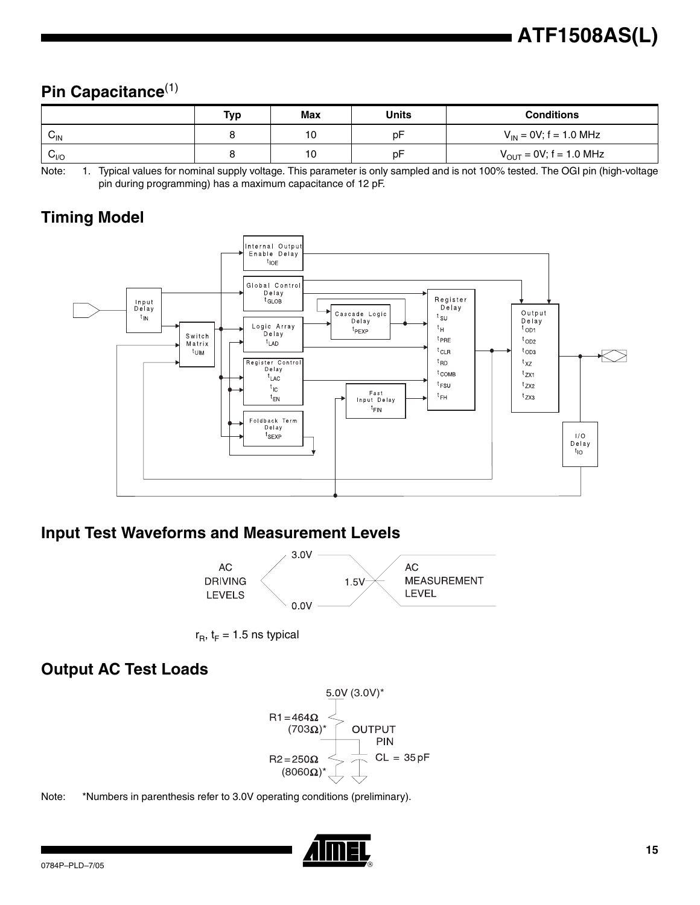### **Pin Capacitance**[\(1\)](#page-14-0)

|                  | Tvp | Max | <b>Units</b> | <b>Conditions</b>                   |
|------------------|-----|-----|--------------|-------------------------------------|
| $v_{\text{IN}}$  |     | 10  | рF           | $V_{IN}$ = 0V; f = 1.0 MHz          |
| $v_{\text{IVO}}$ |     | 10  | рF           | $V_{\text{OUT}} = 0V$ ; f = 1.0 MHz |

<span id="page-14-0"></span>Note: 1. Typical values for nominal supply voltage. This parameter is only sampled and is not 100% tested. The OGI pin (high-voltage pin during programming) has a maximum capacitance of 12 pF.

### **Timing Model**



#### **Input Test Waveforms and Measurement Levels**





#### **Output AC Test Loads**



Note: \*Numbers in parenthesis refer to 3.0V operating conditions (preliminary).

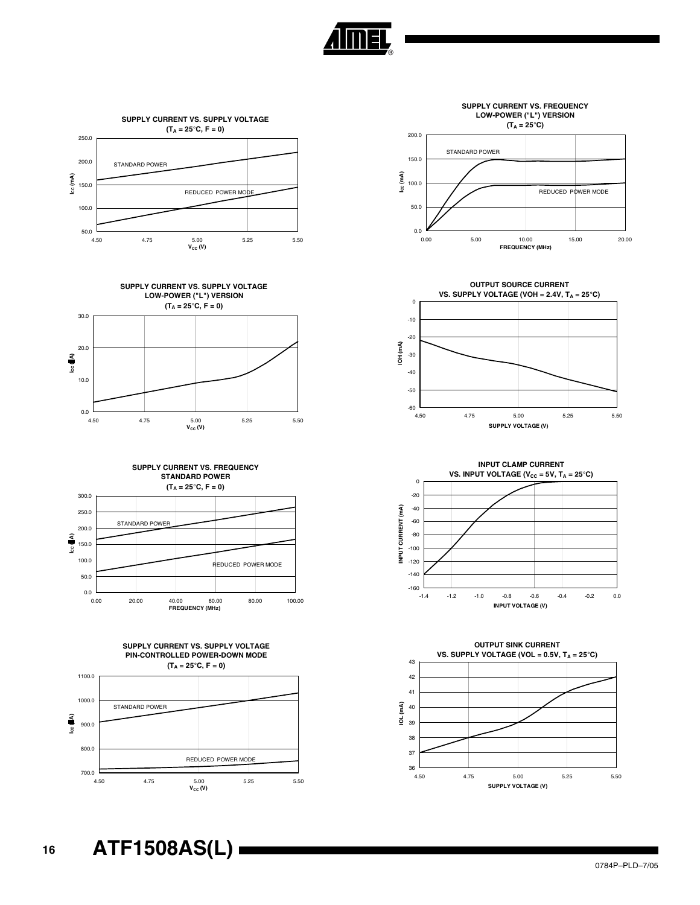

























 $_{0.0}$   $_{0.00}$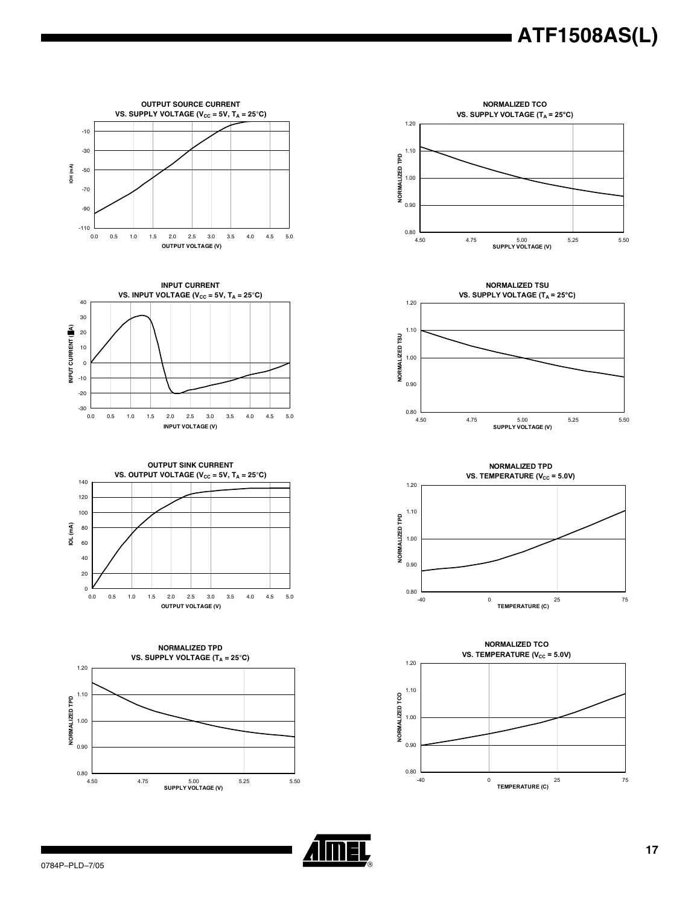













**NORMALIZED TPD VS. TEMPERATURE (V<sub>CC</sub> = 5.0V)** 1.20 1.10 NORMALIZED TPD **NORMALIZED TPD** 1.00 0.90  $_{0.80}$  L<br>-40 -40 0 25 75 **TEMPERATURE (C)**



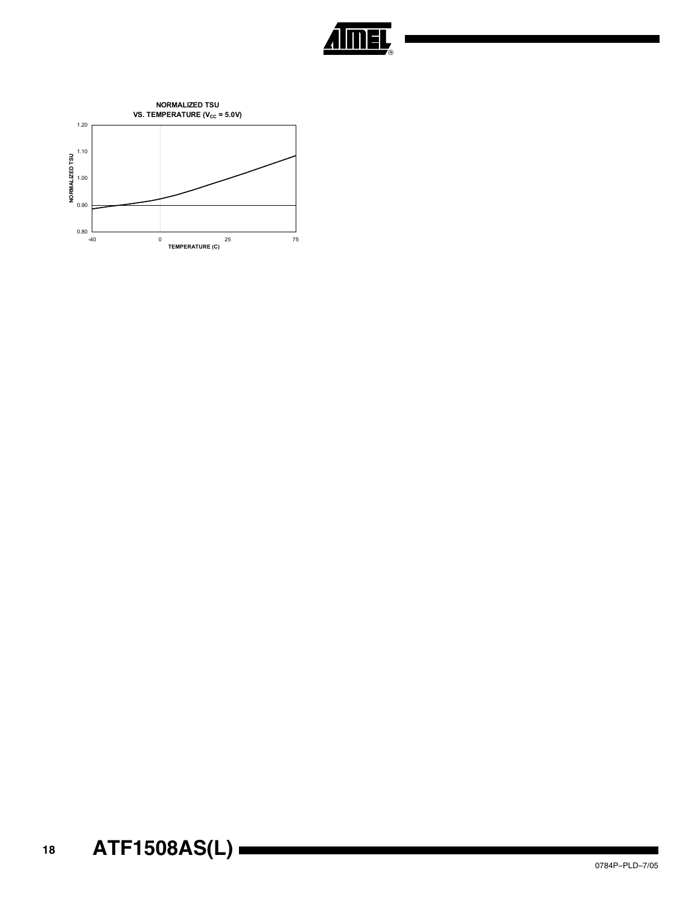

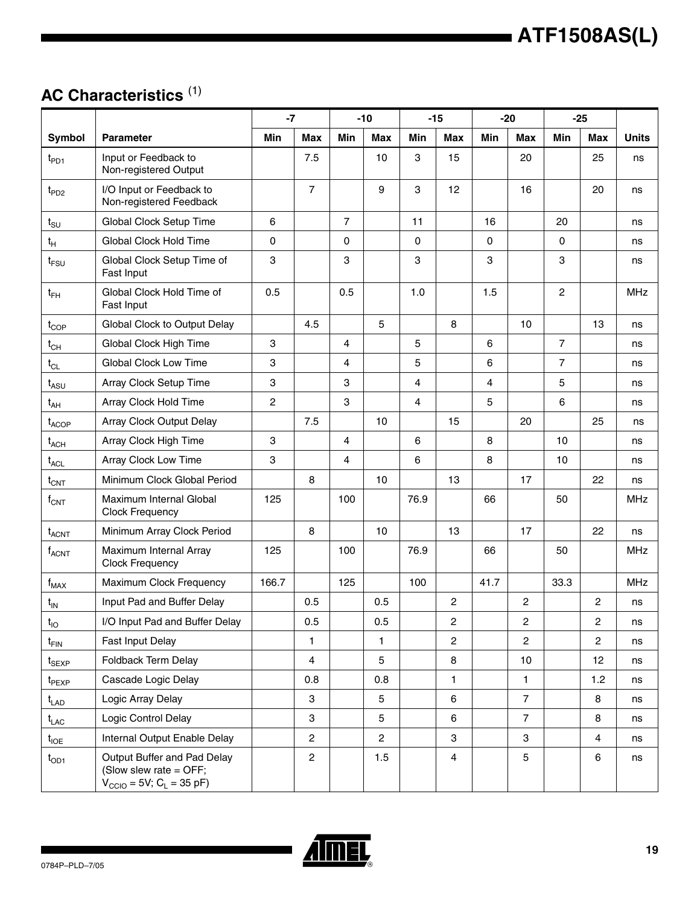## **AC Characteristics** [\(1\)](#page-19-0)

|                               |                                                                                                           | $-7$           |                |                | $-10$          |                | $-15$          |      | $-20$          |                | $-25$            |              |
|-------------------------------|-----------------------------------------------------------------------------------------------------------|----------------|----------------|----------------|----------------|----------------|----------------|------|----------------|----------------|------------------|--------------|
| Symbol                        | <b>Parameter</b>                                                                                          | <b>Min</b>     | <b>Max</b>     | Min            | <b>Max</b>     | Min            | <b>Max</b>     | Min  | <b>Max</b>     | Min            | <b>Max</b>       | <b>Units</b> |
| $t_{PD1}$                     | Input or Feedback to<br>Non-registered Output                                                             |                | 7.5            |                | 10             | 3              | 15             |      | 20             |                | 25               | ns           |
| $t_{PD2}$                     | I/O Input or Feedback to<br>Non-registered Feedback                                                       |                | $\overline{7}$ |                | 9              | 3              | 12             |      | 16             |                | 20               | ns           |
| $t_{\text{SU}}$               | Global Clock Setup Time                                                                                   | 6              |                | $\overline{7}$ |                | 11             |                | 16   |                | 20             |                  | ns           |
| $t_H$                         | Global Clock Hold Time                                                                                    | $\mathbf 0$    |                | 0              |                | $\mathbf 0$    |                | 0    |                | $\Omega$       |                  | ns           |
| $t_{FSU}$                     | Global Clock Setup Time of<br>Fast Input                                                                  | 3              |                | 3              |                | 3              |                | 3    |                | 3              |                  | ns           |
| $t_{FH}$                      | Global Clock Hold Time of<br>Fast Input                                                                   | 0.5            |                | 0.5            |                | 1.0            |                | 1.5  |                | $\overline{c}$ |                  | MHz          |
| $t_{\text{COP}}$              | Global Clock to Output Delay                                                                              |                | 4.5            |                | 5              |                | 8              |      | 10             |                | 13               | ns           |
| $t_{CH}$                      | Global Clock High Time                                                                                    | 3              |                | 4              |                | 5              |                | 6    |                | $\overline{7}$ |                  | ns           |
| $t_{CL}$                      | <b>Global Clock Low Time</b>                                                                              | 3              |                | 4              |                | 5              |                | 6    |                | $\overline{7}$ |                  | ns           |
| $t_{ASU}$                     | Array Clock Setup Time                                                                                    | 3              |                | 3              |                | $\overline{4}$ |                | 4    |                | 5              |                  | ns           |
| $t_{AH}$                      | Array Clock Hold Time                                                                                     | $\overline{c}$ |                | 3              |                | $\overline{4}$ |                | 5    |                | 6              |                  | ns           |
| $t_{ACOP}$                    | Array Clock Output Delay                                                                                  |                | 7.5            |                | 10             |                | 15             |      | 20             |                | 25               | ns           |
| $t_{ACH}$                     | Array Clock High Time                                                                                     | 3              |                | 4              |                | 6              |                | 8    |                | 10             |                  | ns           |
| $t_{\text{ACL}}$              | Array Clock Low Time                                                                                      | 3              |                | 4              |                | 6              |                | 8    |                | 10             |                  | ns           |
| $t_{\text{CNT}}$              | Minimum Clock Global Period                                                                               |                | 8              |                | 10             |                | 13             |      | 17             |                | 22               | ns           |
| $\rm f_{CNT}$                 | Maximum Internal Global<br><b>Clock Frequency</b>                                                         | 125            |                | 100            |                | 76.9           |                | 66   |                | 50             |                  | <b>MHz</b>   |
| $t_{ACNT}$                    | Minimum Array Clock Period                                                                                |                | 8              |                | 10             |                | 13             |      | 17             |                | 22               | ns           |
| $f_{ACNT}$                    | Maximum Internal Array<br><b>Clock Frequency</b>                                                          | 125            |                | 100            |                | 76.9           |                | 66   |                | 50             |                  | <b>MHz</b>   |
| $f_{MAX}$                     | Maximum Clock Frequency                                                                                   | 166.7          |                | 125            |                | 100            |                | 41.7 |                | 33.3           |                  | MHz          |
| $t_{IN}$                      | Input Pad and Buffer Delay                                                                                |                | 0.5            |                | 0.5            |                | 2              |      | $\overline{c}$ |                | $\boldsymbol{2}$ | ns           |
| ι <sub>ΙΟ</sub>               | I/O Input Pad and Buffer Delay                                                                            |                | 0.5            |                | 0.5            |                | 2              |      | 2              |                | 2                | ns           |
| $t_{\sf FIN}$                 | Fast Input Delay                                                                                          |                | 1              |                | $\mathbf{1}$   |                | $\overline{2}$ |      | $\overline{2}$ |                | $\overline{2}$   | ns           |
| $t_{\scriptstyle\text{SEXP}}$ | Foldback Term Delay                                                                                       |                | $\overline{4}$ |                | 5              |                | 8              |      | 10             |                | 12               | ns           |
| $t_{PEXP}$                    | Cascade Logic Delay                                                                                       |                | 0.8            |                | 0.8            |                | 1              |      | $\mathbf{1}$   |                | 1.2              | ns           |
| $t_{\mathsf{LAD}}$            | Logic Array Delay                                                                                         |                | 3              |                | 5              |                | 6              |      | $\overline{7}$ |                | 8                | ns           |
| $t_{\mathsf{LAC}}$            | Logic Control Delay                                                                                       |                | 3              |                | 5              |                | 6              |      | $\overline{7}$ |                | 8                | ns           |
| $t_{\sf IOE}$                 | Internal Output Enable Delay                                                                              |                | $\overline{2}$ |                | $\overline{2}$ |                | 3              |      | 3              |                | 4                | ns           |
| $t_{OD1}$                     | Output Buffer and Pad Delay<br>(Slow slew rate = OFF;<br>$V_{\text{CCIO}} = 5V$ ; C <sub>L</sub> = 35 pF) |                | $\overline{c}$ |                | 1.5            |                | $\overline{4}$ |      | 5              |                | 6                | ns           |

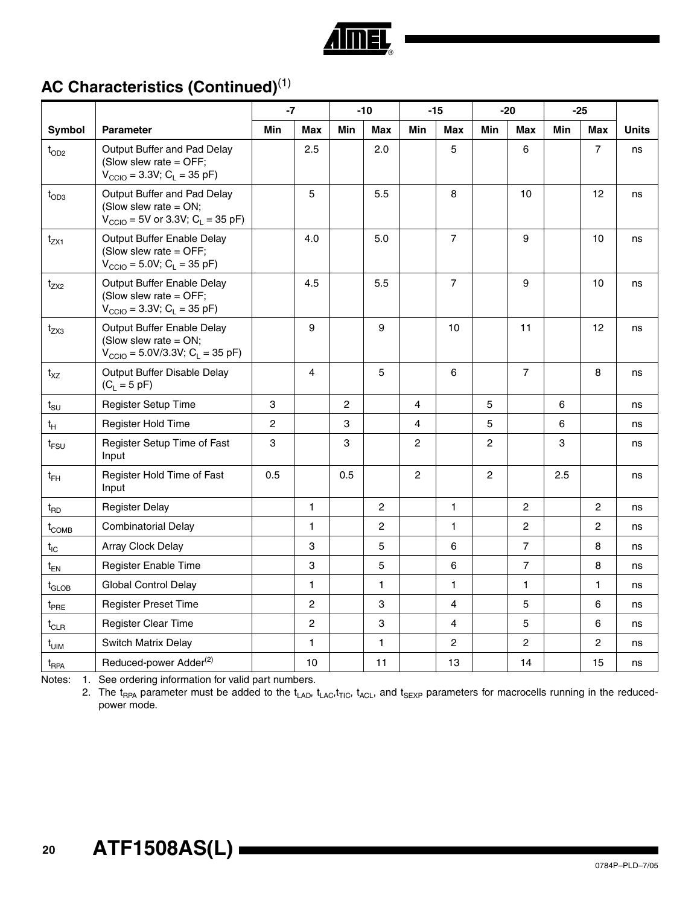

## **AC Characteristics (Continued)**(1)

|                                |                                                                                                                    | $-7$           |                |                | $-10$          |                | $-15$          | $-20$          |                | $-25$ |                |              |
|--------------------------------|--------------------------------------------------------------------------------------------------------------------|----------------|----------------|----------------|----------------|----------------|----------------|----------------|----------------|-------|----------------|--------------|
| Symbol                         | <b>Parameter</b>                                                                                                   | <b>Min</b>     | <b>Max</b>     | Min            | <b>Max</b>     | Min            | <b>Max</b>     | Min            | <b>Max</b>     | Min   | <b>Max</b>     | <b>Units</b> |
| $t_{OD2}$                      | Output Buffer and Pad Delay<br>(Slow slew rate = OFF;<br>$V_{\text{CCIO}} = 3.3V$ ; C <sub>L</sub> = 35 pF)        |                | 2.5            |                | 2.0            |                | 5              |                | 6              |       | $\overline{7}$ | ns           |
| $t_{OD3}$                      | Output Buffer and Pad Delay<br>(Slow slew rate $=$ ON;<br>$V_{\text{CCIO}} = 5V$ or 3.3V; $C_{\text{L}} = 35$ pF)  |                | 5              |                | 5.5            |                | 8              |                | 10             |       | 12             | ns           |
| $t_{ZX1}$                      | Output Buffer Enable Delay<br>(Slow slew rate = $OFF$ ;<br>$V_{\text{CCIO}} = 5.0 V; C_{\text{L}} = 35 \text{ pF}$ |                | 4.0            |                | 5.0            |                | $\overline{7}$ |                | 9              |       | 10             | ns           |
| $t_{ZX2}$                      | Output Buffer Enable Delay<br>(Slow slew rate = OFF;<br>$V_{\text{CCIO}} = 3.3V$ ; C <sub>L</sub> = 35 pF)         |                | 4.5            |                | 5.5            |                | $\overline{7}$ |                | 9              |       | 10             | ns           |
| $t_{ZX3}$                      | Output Buffer Enable Delay<br>(Slow slew rate = $ON;$<br>$V_{\text{CCIO}} = 5.0 V/3.3 V; C_{\text{L}} = 35 pF$     |                | 9              |                | 9              |                | 10             |                | 11             |       | 12             | ns           |
| $t_{XZ}$                       | Output Buffer Disable Delay<br>$(C_L = 5 pF)$                                                                      |                | $\overline{4}$ |                | 5              |                | 6              |                | $\overline{7}$ |       | 8              | ns           |
| $t_{\scriptstyle\text{SU}}$    | Register Setup Time                                                                                                | 3              |                | $\overline{c}$ |                | $\overline{4}$ |                | 5              |                | 6     |                | ns           |
| $t_H$                          | Register Hold Time                                                                                                 | $\overline{c}$ |                | 3              |                | $\overline{4}$ |                | 5              |                | 6     |                | ns           |
| $t_{\sf{FSU}}$                 | Register Setup Time of Fast<br>Input                                                                               | 3              |                | 3              |                | $\mathbf{2}$   |                | $\overline{2}$ |                | 3     |                | ns           |
| $t_{FH}$                       | Register Hold Time of Fast<br>Input                                                                                | 0.5            |                | 0.5            |                | $\overline{2}$ |                | $\overline{2}$ |                | 2.5   |                | ns           |
| $t_{RD}$                       | <b>Register Delay</b>                                                                                              |                | $\mathbf{1}$   |                | $\overline{2}$ |                | $\mathbf{1}$   |                | $\overline{c}$ |       | $\overline{c}$ | ns           |
| $t_{COMB}$                     | <b>Combinatorial Delay</b>                                                                                         |                | $\mathbf{1}$   |                | $\overline{2}$ |                | 1              |                | $\overline{2}$ |       | $\overline{2}$ | ns           |
| $t_{IC}$                       | Array Clock Delay                                                                                                  |                | 3              |                | 5              |                | 6              |                | $\overline{7}$ |       | 8              | ns           |
| $t_{EN}$                       | Register Enable Time                                                                                               |                | 3              |                | 5              |                | 6              |                | $\overline{7}$ |       | 8              | ns           |
| $t_{\text{GLOB}}$              | <b>Global Control Delay</b>                                                                                        |                | 1              |                | $\mathbf{1}$   |                | 1              |                | $\mathbf{1}$   |       | $\mathbf{1}$   | ns           |
| $t_{PRE}$                      | <b>Register Preset Time</b>                                                                                        |                | $\overline{2}$ |                | 3              |                | 4              |                | $\sqrt{5}$     |       | 6              | ns           |
| $t_{\scriptstyle{\text{CLR}}}$ | <b>Register Clear Time</b>                                                                                         |                | $\overline{c}$ |                | 3              |                | $\overline{4}$ |                | 5              |       | 6              | ns           |
| $t_{\text{UIM}}$               | Switch Matrix Delay                                                                                                |                | 1              |                | $\mathbf{1}$   |                | 2              |                | $\overline{c}$ |       | $\overline{2}$ | ns           |
| t <sub>RPA</sub>               | Reduced-power Adder <sup>(2)</sup>                                                                                 |                | 10             |                | 11             |                | 13             |                | 14             |       | 15             | ns           |

<span id="page-19-0"></span>Notes: 1. See ordering information for valid part numbers.

2. The  $t_{RPA}$  parameter must be added to the  $t_{LAD}$ ,  $t_{LAC}$ ,  $t_{TIC}$ ,  $t_{ACL}$ , and  $t_{SEXP}$  parameters for macrocells running in the reducedpower mode.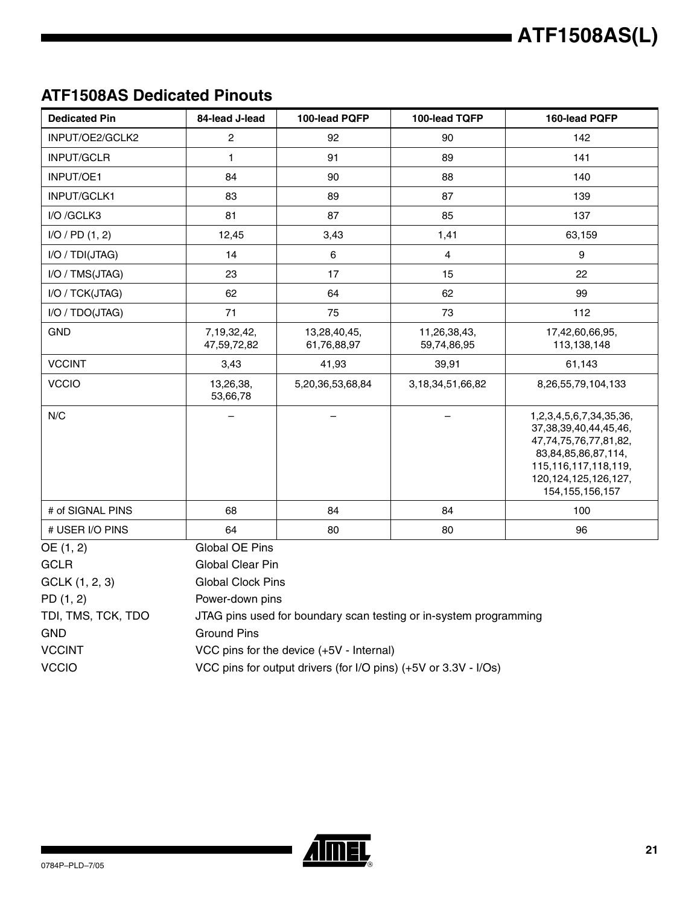### **ATF1508AS Dedicated Pinouts**

| <b>Dedicated Pin</b> | 84-lead J-lead                                                  | 100-lead PQFP                            | 100-lead TQFP                                                     | 160-lead PQFP                                                                                                                                                                        |  |  |
|----------------------|-----------------------------------------------------------------|------------------------------------------|-------------------------------------------------------------------|--------------------------------------------------------------------------------------------------------------------------------------------------------------------------------------|--|--|
| INPUT/OE2/GCLK2      | $\overline{c}$                                                  | 92                                       | 90                                                                | 142                                                                                                                                                                                  |  |  |
| INPUT/GCLR           | 1                                                               | 91                                       | 89                                                                | 141                                                                                                                                                                                  |  |  |
| <b>INPUT/OE1</b>     | 84                                                              | 90                                       | 88                                                                | 140                                                                                                                                                                                  |  |  |
| INPUT/GCLK1          | 83                                                              | 89                                       | 87                                                                | 139                                                                                                                                                                                  |  |  |
| I/O /GCLK3           | 81                                                              | 87                                       | 85                                                                | 137                                                                                                                                                                                  |  |  |
| I/O / PD (1, 2)      | 12,45                                                           | 3,43                                     | 1,41                                                              | 63,159                                                                                                                                                                               |  |  |
| I/O / TDI(JTAG)      | 14                                                              | $6\phantom{a}$                           | $\overline{4}$                                                    | 9                                                                                                                                                                                    |  |  |
| I/O / TMS(JTAG)      | 23                                                              | 17                                       | 15                                                                | 22                                                                                                                                                                                   |  |  |
| I/O / TCK(JTAG)      | 62                                                              | 64                                       | 62                                                                | 99                                                                                                                                                                                   |  |  |
| I/O / TDO(JTAG)      | 71                                                              | 75                                       | 73                                                                | 112                                                                                                                                                                                  |  |  |
| <b>GND</b>           | 7,19,32,42,<br>47,59,72,82                                      | 13,28,40,45,<br>61,76,88,97              | 11,26,38,43,<br>59,74,86,95                                       | 17,42,60,66,95,<br>113,138,148                                                                                                                                                       |  |  |
| <b>VCCINT</b>        | 3,43                                                            | 41,93                                    | 39,91                                                             | 61,143                                                                                                                                                                               |  |  |
| <b>VCCIO</b>         | 13,26,38,<br>53,66,78                                           | 5,20,36,53,68,84                         | 3, 18, 34, 51, 66, 82                                             | 8,26,55,79,104,133                                                                                                                                                                   |  |  |
| N/C                  |                                                                 |                                          |                                                                   | 1,2,3,4,5,6,7,34,35,36,<br>37, 38, 39, 40, 44, 45, 46,<br>47,74,75,76,77,81,82,<br>83,84,85,86,87,114,<br>115, 116, 117, 118, 119,<br>120, 124, 125, 126, 127,<br>154, 155, 156, 157 |  |  |
| # of SIGNAL PINS     | 68                                                              | 84                                       | 84                                                                | 100                                                                                                                                                                                  |  |  |
| # USER I/O PINS      | 64                                                              | 80                                       | 80                                                                | 96                                                                                                                                                                                   |  |  |
| OE (1, 2)            | Global OE Pins                                                  |                                          |                                                                   |                                                                                                                                                                                      |  |  |
| <b>GCLR</b>          | Global Clear Pin                                                |                                          |                                                                   |                                                                                                                                                                                      |  |  |
| GCLK (1, 2, 3)       | <b>Global Clock Pins</b>                                        |                                          |                                                                   |                                                                                                                                                                                      |  |  |
| PD(1, 2)             | Power-down pins                                                 |                                          |                                                                   |                                                                                                                                                                                      |  |  |
| TDI, TMS, TCK, TDO   |                                                                 |                                          | JTAG pins used for boundary scan testing or in-system programming |                                                                                                                                                                                      |  |  |
| <b>GND</b>           | <b>Ground Pins</b>                                              |                                          |                                                                   |                                                                                                                                                                                      |  |  |
| <b>VCCINT</b>        |                                                                 | VCC pins for the device (+5V - Internal) |                                                                   |                                                                                                                                                                                      |  |  |
| <b>VCCIO</b>         | VCC pins for output drivers (for I/O pins) (+5V or 3.3V - I/Os) |                                          |                                                                   |                                                                                                                                                                                      |  |  |

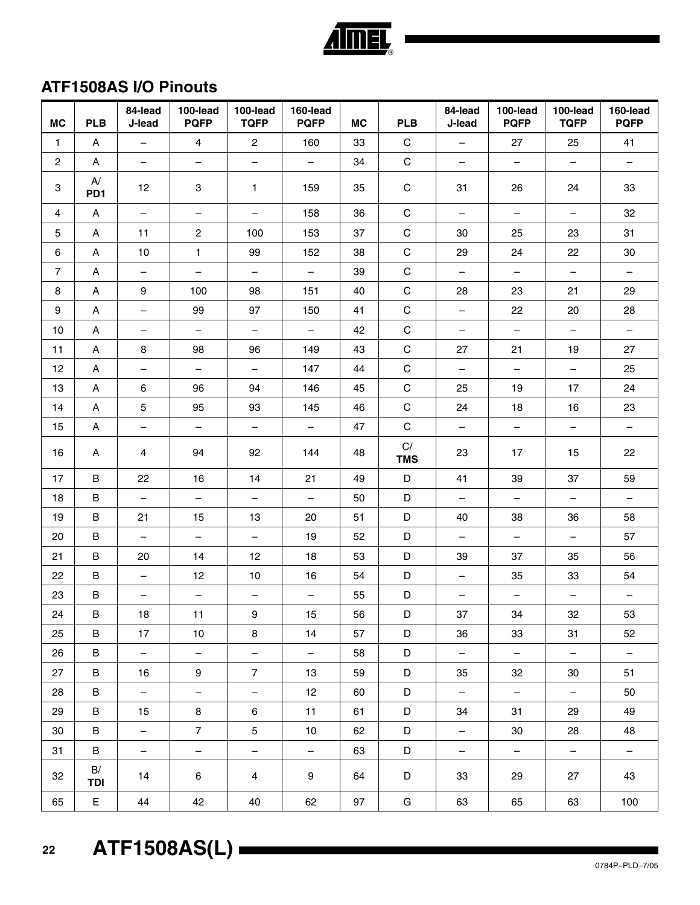| <b>MC</b>      | <b>PLB</b>                           | 84-lead<br>J-lead        | 100-lead<br><b>PQFP</b>  | 100-lead<br><b>TQFP</b>  | 160-lead<br><b>PQFP</b>  | <b>MC</b> | <b>PLB</b>                  | 84-lead<br>J-lead        | 100-lead<br><b>PQFP</b>  | 100-lead<br><b>TQFP</b>  | 160-lead<br><b>PQFP</b>  |
|----------------|--------------------------------------|--------------------------|--------------------------|--------------------------|--------------------------|-----------|-----------------------------|--------------------------|--------------------------|--------------------------|--------------------------|
| $\mathbf{1}$   | A                                    | $\equiv$                 | $\overline{4}$           | $\mathbf{2}$             | 160                      | 33        | $\mathbf C$                 | $\equiv$                 | 27                       | 25                       | 41                       |
| $\mathbf{2}$   | A                                    | $\qquad \qquad -$        | $\overline{\phantom{0}}$ | $\overline{\phantom{0}}$ | $\overline{\phantom{0}}$ | 34        | $\mathbf C$                 | $\overline{\phantom{a}}$ | $-$                      | $\overline{\phantom{a}}$ | $\qquad \qquad -$        |
| 3              | $\mathsf{A}/\!\!$<br>PD <sub>1</sub> | 12                       | 3                        | 1                        | 159                      | 35        | $\mathsf C$                 | 31                       | 26                       | 24                       | 33                       |
| 4              | A                                    | $\overline{\phantom{0}}$ | $\overline{\phantom{0}}$ | $\qquad \qquad -$        | 158                      | 36        | $\mathbf C$                 | $\overline{\phantom{0}}$ | $-$                      | $\overline{\phantom{m}}$ | 32                       |
| 5              | Α                                    | 11                       | $\mathbf{2}$             | 100                      | 153                      | 37        | $\mathsf C$                 | 30                       | 25                       | 23                       | 31                       |
| 6              | A                                    | 10                       | $\mathbf{1}$             | 99                       | 152                      | 38        | $\mathsf C$                 | 29                       | 24                       | 22                       | 30                       |
| $\overline{7}$ | Α                                    | $\overline{\phantom{0}}$ | $\qquad \qquad -$        | $\overline{\phantom{m}}$ | $\overline{\phantom{m}}$ | 39        | $\mathsf C$                 | $\overline{\phantom{0}}$ | $-$                      | $\overline{\phantom{m}}$ | $\overline{\phantom{0}}$ |
| 8              | Α                                    | 9                        | 100                      | 98                       | 151                      | 40        | $\mathbf C$                 | 28                       | 23                       | 21                       | 29                       |
| 9              | Α                                    | $\overline{\phantom{m}}$ | 99                       | 97                       | 150                      | 41        | $\mathbf C$                 | $\overline{\phantom{0}}$ | 22                       | 20                       | 28                       |
| 10             | A                                    | $\qquad \qquad -$        | $-$                      | $\qquad \qquad -$        | $\overline{\phantom{m}}$ | 42        | $\mathbf C$                 | -                        | $\qquad \qquad -$        | $\overline{\phantom{m}}$ | $\qquad \qquad -$        |
| 11             | Α                                    | 8                        | 98                       | 96                       | 149                      | 43        | $\mathbf C$                 | 27                       | 21                       | 19                       | 27                       |
| 12             | A                                    | $\overline{\phantom{m}}$ | $-$                      | $\overline{\phantom{m}}$ | 147                      | 44        | $\mathsf C$                 | $\overline{\phantom{0}}$ | $\overline{\phantom{0}}$ | $\overline{\phantom{m}}$ | 25                       |
| 13             | Α                                    | 6                        | 96                       | 94                       | 146                      | 45        | $\mathsf C$                 | 25                       | 19                       | 17                       | 24                       |
| 14             | Α                                    | $5\phantom{.0}$          | 95                       | 93                       | 145                      | 46        | $\mathbf C$                 | 24                       | 18                       | 16                       | 23                       |
| 15             | Α                                    | $\overline{\phantom{m}}$ | $-$                      | $\qquad \qquad -$        | $\overline{\phantom{m}}$ | 47        | $\mathbf C$                 | $\qquad \qquad -$        | $\overline{\phantom{a}}$ | $\overline{\phantom{m}}$ | $\qquad \qquad -$        |
| 16             | A                                    | 4                        | 94                       | 92                       | 144                      | 48        | $\mathsf{C}/$<br><b>TMS</b> | 23                       | 17                       | 15                       | 22                       |
| 17             | B                                    | 22                       | 16                       | 14                       | 21                       | 49        | D                           | 41                       | 39                       | 37                       | 59                       |
| 18             | $\sf B$                              | $\overline{\phantom{a}}$ | $\overline{\phantom{0}}$ | $\qquad \qquad -$        | $\overline{\phantom{0}}$ | 50        | D                           | $\overline{\phantom{a}}$ | $\overline{\phantom{0}}$ | $\overline{\phantom{m}}$ | $\qquad \qquad -$        |
| 19             | B                                    | 21                       | 15                       | 13                       | 20                       | 51        | D                           | 40                       | 38                       | 36                       | 58                       |
| 20             | $\sf B$                              | $\overline{\phantom{m}}$ | $\overline{\phantom{0}}$ | $\overline{\phantom{m}}$ | 19                       | 52        | D                           | $\qquad \qquad -$        | $\overline{\phantom{m}}$ | $\overline{\phantom{m}}$ | 57                       |
| 21             | B                                    | 20                       | 14                       | 12                       | 18                       | 53        | D                           | 39                       | 37                       | 35                       | 56                       |
| 22             | B                                    |                          | 12                       | 10                       | 16                       | 54        | D                           | —                        | 35                       | 33                       | 54                       |
| 23             | B                                    | $\overline{\phantom{m}}$ | $\qquad \qquad -$        | $\qquad \qquad -$        | $\overline{\phantom{0}}$ | 55        | D                           | $\overline{\phantom{a}}$ | $\overline{\phantom{m}}$ | $\overline{\phantom{m}}$ | $\overline{\phantom{a}}$ |
| 24             | $\, {\bf B}$                         | 18                       | 11                       | 9                        | 15                       | 56        | $\mathsf D$                 | 37                       | 34                       | 32                       | 53                       |
| 25             | B                                    | 17                       | 10 <sup>1</sup>          | 8                        | 14                       | 57        | D                           | 36                       | 33                       | 31                       | 52                       |
| 26             | B                                    | $ \,$                    | $\overline{\phantom{0}}$ | $\overline{\phantom{0}}$ | $\equiv$                 | 58        | D                           | $\equiv$                 | $\equiv$                 | $\equiv$                 | $\overline{\phantom{0}}$ |
| 27             | B                                    | 16                       | 9                        | $\overline{7}$           | 13                       | 59        | D                           | 35                       | 32                       | 30                       | 51                       |
| 28             | B                                    | $\equiv$                 | $\overline{\phantom{0}}$ | $\equiv$                 | 12                       | 60        | D                           | $\equiv$                 | $\overline{\phantom{0}}$ | $\equiv$                 | 50                       |
| 29             | B                                    | 15                       | 8                        | 6                        | 11                       | 61        | D                           | 34                       | 31                       | 29                       | 49                       |
| 30             | B                                    | $\equiv$                 | $\overline{7}$           | 5                        | 10                       | 62        | D                           | $\equiv$                 | 30                       | 28                       | 48                       |
| 31             | B                                    | $\overline{\phantom{0}}$ | $\equiv$                 | $\equiv$                 | $\equiv$                 | 63        | D                           | $-$                      | $\equiv$                 | $\equiv$                 | $-$                      |
| 32             | B/<br><b>TDI</b>                     | 14                       | 6                        | $\overline{4}$           | 9                        | 64        | D                           | 33                       | 29                       | 27                       | 43                       |
| 65             | E.                                   | 44                       | 42                       | 40                       | 62                       | 97        | G                           | 63                       | 65                       | 63                       | 100                      |

## **ATF1508AS I/O Pinouts**

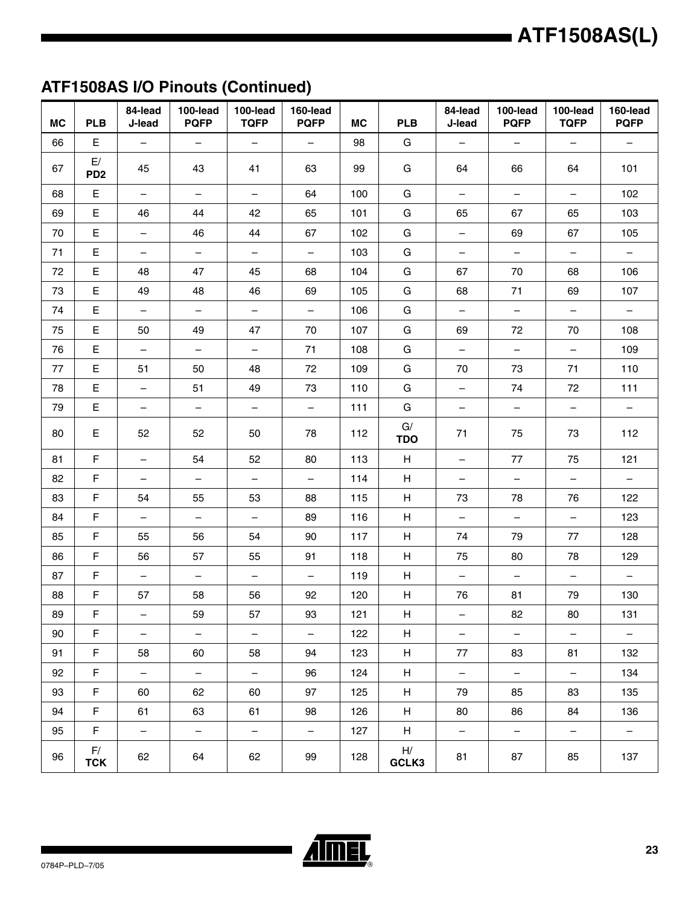## **ATF1508AS I/O Pinouts (Continued)**

| <b>MC</b> | <b>PLB</b>            | 84-lead<br>J-lead        | 100-lead<br><b>PQFP</b>  | 100-lead<br><b>TQFP</b>  | 160-lead<br><b>PQFP</b>  | <b>MC</b> | <b>PLB</b>                | 84-lead<br>J-lead        | 100-lead<br><b>PQFP</b>  | 100-lead<br><b>TQFP</b>  | 160-lead<br><b>PQFP</b>  |
|-----------|-----------------------|--------------------------|--------------------------|--------------------------|--------------------------|-----------|---------------------------|--------------------------|--------------------------|--------------------------|--------------------------|
| 66        | $\mathsf E$           | $\equiv$                 | $\equiv$                 | $\overline{\phantom{0}}$ | $\equiv$                 | 98        | G                         | $\overline{\phantom{m}}$ | $\overline{\phantom{0}}$ | $\overline{\phantom{m}}$ | $\overline{\phantom{0}}$ |
| 67        | E/<br>PD <sub>2</sub> | 45                       | 43                       | 41                       | 63                       | 99        | G                         | 64                       | 66                       | 64                       | 101                      |
| 68        | E                     | $\overline{\phantom{a}}$ | $-$                      | $-$                      | 64                       | 100       | G                         | $\overline{\phantom{0}}$ | $-$                      | $\overline{\phantom{m}}$ | 102                      |
| 69        | $\mathsf E$           | 46                       | 44                       | 42                       | 65                       | 101       | G                         | 65                       | 67                       | 65                       | 103                      |
| 70        | E                     | $\qquad \qquad -$        | 46                       | 44                       | 67                       | 102       | G                         | $\qquad \qquad -$        | 69                       | 67                       | 105                      |
| 71        | $\mathsf E$           | $\overline{\phantom{m}}$ | $\equiv$                 | $\equiv$                 | $\equiv$                 | 103       | G                         | $\overline{\phantom{0}}$ | $\overline{\phantom{m}}$ | $\overline{\phantom{a}}$ | $\equiv$                 |
| 72        | E                     | 48                       | 47                       | 45                       | 68                       | 104       | G                         | 67                       | 70                       | 68                       | 106                      |
| 73        | E                     | 49                       | 48                       | 46                       | 69                       | 105       | G                         | 68                       | 71                       | 69                       | 107                      |
| 74        | E                     | $\overline{\phantom{0}}$ | $-$                      | $-$                      | $\overline{\phantom{0}}$ | 106       | G                         | $\overline{\phantom{0}}$ | $\overline{\phantom{0}}$ | $\overline{\phantom{m}}$ | $\equiv$                 |
| 75        | E                     | 50                       | 49                       | 47                       | 70                       | 107       | G                         | 69                       | 72                       | 70                       | 108                      |
| 76        | E                     | $\equiv$                 | $\equiv$                 | $\equiv$                 | 71                       | 108       | G                         | $\frac{1}{2}$            | $\equiv$                 | $\equiv$                 | 109                      |
| 77        | E                     | 51                       | 50                       | 48                       | 72                       | 109       | G                         | 70                       | 73                       | 71                       | 110                      |
| 78        | E                     | $\overline{\phantom{a}}$ | 51                       | 49                       | 73                       | 110       | G                         | $\equiv$                 | 74                       | 72                       | 111                      |
| 79        | E                     | $\overline{\phantom{0}}$ | $\equiv$                 | $-$                      | $\overline{\phantom{m}}$ | 111       | G                         | $\overline{\phantom{0}}$ | $\equiv$                 | $\equiv$                 | $\equiv$                 |
| 80        | E                     | 52                       | 52                       | 50                       | 78                       | 112       | G/<br><b>TDO</b>          | 71                       | 75                       | 73                       | 112                      |
| 81        | $\mathsf F$           | $\equiv$                 | 54                       | 52                       | 80                       | 113       | H                         | $\frac{1}{2}$            | 77                       | 75                       | 121                      |
| 82        | F                     | $\overline{\phantom{m}}$ | $\equiv$                 | $\overline{\phantom{0}}$ | $\equiv$                 | 114       | H                         | $\overline{\phantom{0}}$ | $\overline{\phantom{0}}$ | $\overline{\phantom{m}}$ | $\overline{\phantom{0}}$ |
| 83        | F                     | 54                       | 55                       | 53                       | 88                       | 115       | Н                         | 73                       | 78                       | 76                       | 122                      |
| 84        | F                     | $\overline{\phantom{m}}$ | $\overline{\phantom{0}}$ | $\overline{\phantom{0}}$ | 89                       | 116       | H                         | $\overline{\phantom{0}}$ | $\overline{\phantom{0}}$ | $\overline{\phantom{m}}$ | 123                      |
| 85        | F                     | 55                       | 56                       | 54                       | 90                       | 117       | H                         | 74                       | 79                       | 77                       | 128                      |
| 86        | F                     | 56                       | 57                       | 55                       | 91                       | 118       | Н                         | 75                       | 80                       | 78                       | 129                      |
| 87        | F                     | $\bar{\phantom{a}}$      | $\equiv$                 | $\overline{\phantom{0}}$ | $\equiv$                 | 119       | Н                         | $\equiv$                 | $\frac{1}{2}$            | $\equiv$                 | $\equiv$                 |
| 88        | F                     | 57                       | 58                       | 56                       | 92                       | 120       | $\boldsymbol{\mathsf{H}}$ | 76                       | 81                       | 79                       | 130                      |
| 89        | F                     | $\overline{\phantom{m}}$ | 59                       | 57                       | 93                       | 121       | H                         | $\qquad \qquad -$        | 82                       | 80                       | 131                      |
| 90        | F                     | $\qquad \qquad -$        | $\overline{\phantom{0}}$ | $\overline{\phantom{0}}$ | $\overline{\phantom{0}}$ | 122       | H                         | $\qquad \qquad -$        | $\overline{\phantom{0}}$ | $\overline{\phantom{a}}$ | $\overline{\phantom{0}}$ |
| 91        | F                     | 58                       | 60                       | 58                       | 94                       | 123       | Н                         | 77                       | 83                       | 81                       | 132                      |
| 92        | F                     | $\overline{\phantom{a}}$ | $\overline{\phantom{a}}$ | $\overline{\phantom{0}}$ | 96                       | 124       | H                         | $\overline{\phantom{a}}$ | $-$                      | $\overline{\phantom{m}}$ | 134                      |
| 93        | $\mathsf F$           | 60                       | 62                       | 60                       | 97                       | 125       | Н                         | 79                       | 85                       | 83                       | 135                      |
| 94        | $\mathsf F$           | 61                       | 63                       | 61                       | 98                       | 126       | $\mathsf H$               | 80                       | 86                       | 84                       | 136                      |
| 95        | F.                    | $\overline{\phantom{m}}$ | $\overline{\phantom{0}}$ | $\overline{\phantom{0}}$ | $\overline{\phantom{a}}$ | 127       | H                         | $\qquad \qquad -$        | $\overline{\phantom{0}}$ | $\overline{\phantom{m}}$ | $\overline{\phantom{0}}$ |
| 96        | F/<br><b>TCK</b>      | 62                       | 64                       | 62                       | 99                       | 128       | H/<br>GCLK3               | 81                       | 87                       | 85                       | 137                      |

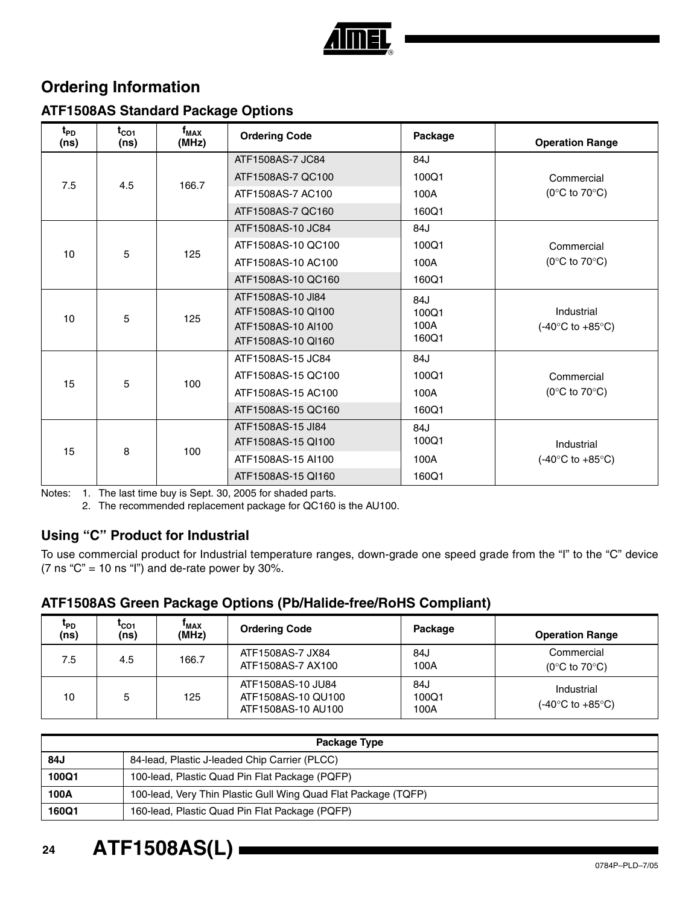

### **Ordering Information**

#### **ATF1508AS Standard Package Options**

| $t_{PD}$<br>(ns) | $t_{CO1}$<br>(ns) | $f_{MAX}$<br>(MHz) | <b>Ordering Code</b>                                          | Package              | <b>Operation Range</b>                             |
|------------------|-------------------|--------------------|---------------------------------------------------------------|----------------------|----------------------------------------------------|
|                  |                   |                    | ATF1508AS-7 JC84                                              | 84J                  |                                                    |
| 7.5              | 4.5               | 166.7              | ATF1508AS-7 QC100                                             | 100Q1                | Commercial                                         |
|                  |                   |                    | ATF1508AS-7 AC100                                             | 100A                 | (0 $\rm ^{\circ}C$ to 70 $\rm ^{\circ}C$ )         |
|                  |                   |                    | ATF1508AS-7 QC160                                             | 160Q1                |                                                    |
|                  |                   |                    | ATF1508AS-10 JC84                                             | 84J                  |                                                    |
| 10               |                   | 125                | ATF1508AS-10 QC100                                            | 100Q1                | Commercial                                         |
|                  | 5                 |                    | ATF1508AS-10 AC100                                            | 100A                 | (0 $\rm ^{\circ}C$ to 70 $\rm ^{\circ}C$ )         |
|                  |                   |                    | ATF1508AS-10 QC160                                            | 160Q1                |                                                    |
| 10               | 5                 | 125                | ATF1508AS-10 JI84<br>ATF1508AS-10 QI100<br>ATF1508AS-10 Al100 | 84J<br>100Q1<br>100A | Industrial<br>$(-40^{\circ}$ C to $+85^{\circ}$ C) |
|                  |                   |                    | ATF1508AS-10 QI160                                            | 160Q1                |                                                    |
|                  |                   |                    | ATF1508AS-15 JC84                                             | 84J                  |                                                    |
| 15               |                   | 100                | ATF1508AS-15 QC100                                            | 100Q1                | Commercial                                         |
|                  | 5                 |                    | ATF1508AS-15 AC100                                            | 100A                 | (0 $\rm ^{\circ}C$ to 70 $\rm ^{\circ}C$ )         |
|                  |                   |                    | ATF1508AS-15 QC160                                            | 160Q1                |                                                    |
|                  |                   |                    | ATF1508AS-15 JI84<br>ATF1508AS-15 Q1100                       | 84J<br>100Q1         | Industrial                                         |
| 15               | 8                 | 100                | ATF1508AS-15 AI100                                            | 100A                 | $(-40^{\circ}$ C to $+85^{\circ}$ C)               |
|                  |                   |                    | ATF1508AS-15 QI160                                            | 160Q1                |                                                    |

Notes: 1. The last time buy is Sept. 30, 2005 for shaded parts.

2. The recommended replacement package for QC160 is the AU100.

#### **Using "C" Product for Industrial**

To use commercial product for Industrial temperature ranges, down-grade one speed grade from the "I" to the "C" device (7 ns " $C$ " = 10 ns "I") and de-rate power by 30%.

#### **ATF1508AS Green Package Options (Pb/Halide-free/RoHS Compliant)**

| <sup>L</sup> PD<br>(ns) | <sup>L</sup> CO <sub>1</sub><br>(ns) | <b>'MAX</b><br>(MHz) | <b>Ordering Code</b>                                          | Package              | <b>Operation Range</b>                                   |
|-------------------------|--------------------------------------|----------------------|---------------------------------------------------------------|----------------------|----------------------------------------------------------|
| 7.5                     | 4.5                                  | 166.7                | ATF1508AS-7 JX84<br>ATF1508AS-7 AX100                         | 84J<br>100A          | Commercial<br>(0 $\rm ^{\circ}C$ to 70 $\rm ^{\circ}C$ ) |
| 10                      | 5                                    | 125                  | ATF1508AS-10 JU84<br>ATF1508AS-10 QU100<br>ATF1508AS-10 AU100 | 84J<br>100Q1<br>100A | Industrial<br>(-40°C to +85°C)                           |

| Package Type |                                                                |  |  |  |  |
|--------------|----------------------------------------------------------------|--|--|--|--|
| 84J          | 84-lead, Plastic J-leaded Chip Carrier (PLCC)                  |  |  |  |  |
| 100Q1        | 100-lead, Plastic Quad Pin Flat Package (PQFP)                 |  |  |  |  |
| 100A         | 100-lead, Very Thin Plastic Gull Wing Quad Flat Package (TQFP) |  |  |  |  |
| 160Q1        | 160-lead, Plastic Quad Pin Flat Package (PQFP)                 |  |  |  |  |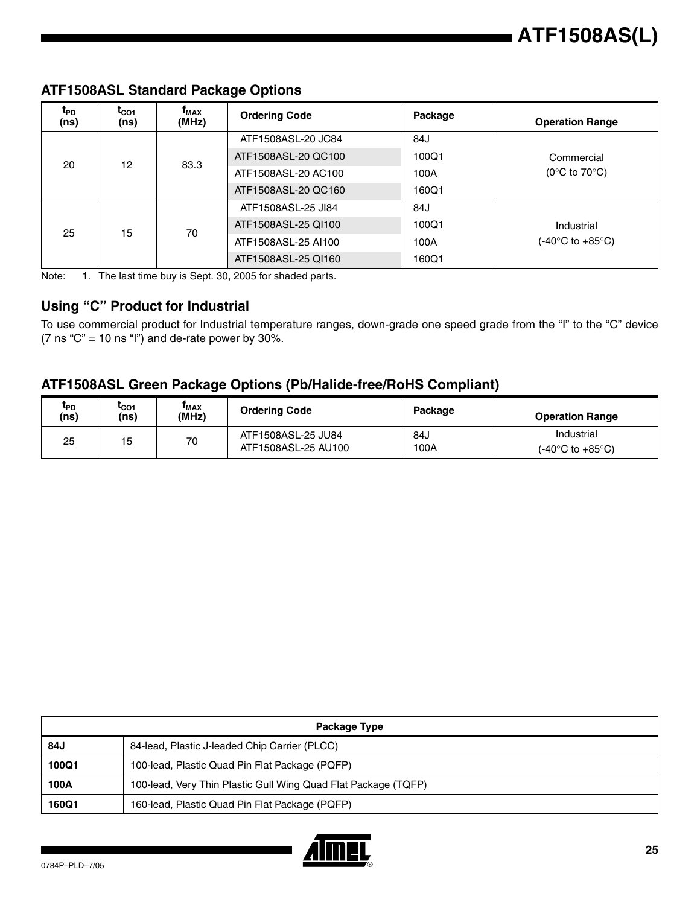| t <sub>PD</sub><br>(ns) | $t_{CO1}$<br>(ns) | $\mathbf{r}_{\text{MAX}}$<br>(MHz) | <b>Ordering Code</b> | Package          | <b>Operation Range</b>                     |
|-------------------------|-------------------|------------------------------------|----------------------|------------------|--------------------------------------------|
|                         |                   |                                    | ATF1508ASL-20 JC84   | 84J              |                                            |
| 20                      | 12                | 83.3                               | ATF1508ASL-20 QC100  | 100Q1            | Commercial                                 |
|                         |                   |                                    | ATF1508ASL-20 AC100  | 100A             | (0 $\rm ^{\circ}C$ to 70 $\rm ^{\circ}C$ ) |
|                         |                   |                                    | ATF1508ASL-20 QC160  | 160Q1            |                                            |
|                         |                   |                                    | ATF1508ASL-25 JI84   | 84J              |                                            |
| 25                      | 15                |                                    | ATF1508ASL-25 QI100  | 100Q1            | Industrial                                 |
|                         | 70                | ATF1508ASL-25 AI100                | 100A                 | (-40°C to +85°C) |                                            |
|                         |                   |                                    | ATF1508ASL-25 QI160  | 160Q1            |                                            |

#### **ATF1508ASL Standard Package Options**

Note: 1. The last time buy is Sept. 30, 2005 for shaded parts.

#### **Using "C" Product for Industrial**

To use commercial product for Industrial temperature ranges, down-grade one speed grade from the "I" to the "C" device (7 ns " $C$ " = 10 ns "I") and de-rate power by 30%.

#### **ATF1508ASL Green Package Options (Pb/Halide-free/RoHS Compliant)**

| <sup>L</sup> PD<br>(ns) | LCO1<br>(ns) | 'MAX<br>(MHz) | <b>Ordering Code</b>                      | Package     | <b>Operation Range</b>                             |
|-------------------------|--------------|---------------|-------------------------------------------|-------------|----------------------------------------------------|
| 25                      | 15           | 70            | ATF1508ASL-25 JU84<br>ATF1508ASL-25 AU100 | 84ه<br>100A | Industrial<br>$(-40^{\circ}$ C to $+85^{\circ}$ C) |

| Package Type |                                                                |  |  |  |  |
|--------------|----------------------------------------------------------------|--|--|--|--|
| 84J          | 84-lead, Plastic J-leaded Chip Carrier (PLCC)                  |  |  |  |  |
| 100Q1        | 100-lead, Plastic Quad Pin Flat Package (PQFP)                 |  |  |  |  |
| 100A         | 100-lead, Very Thin Plastic Gull Wing Quad Flat Package (TQFP) |  |  |  |  |
| 160Q1        | 160-lead, Plastic Quad Pin Flat Package (PQFP)                 |  |  |  |  |

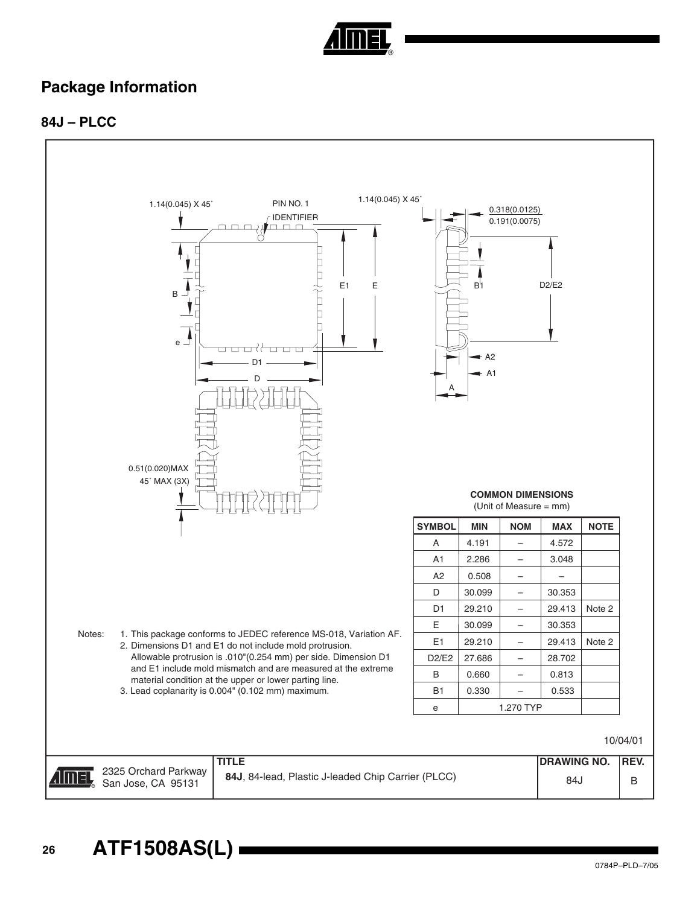

### **Package Information**

#### **84J – PLCC**



**<sup>26</sup> ATF1508AS(L)**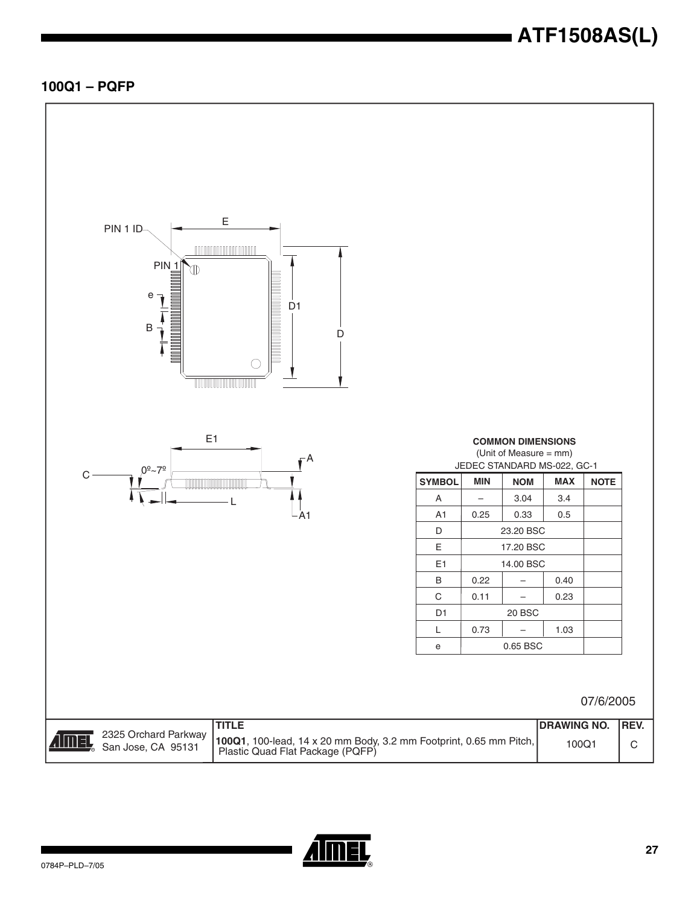#### **100Q1 – PQFP**



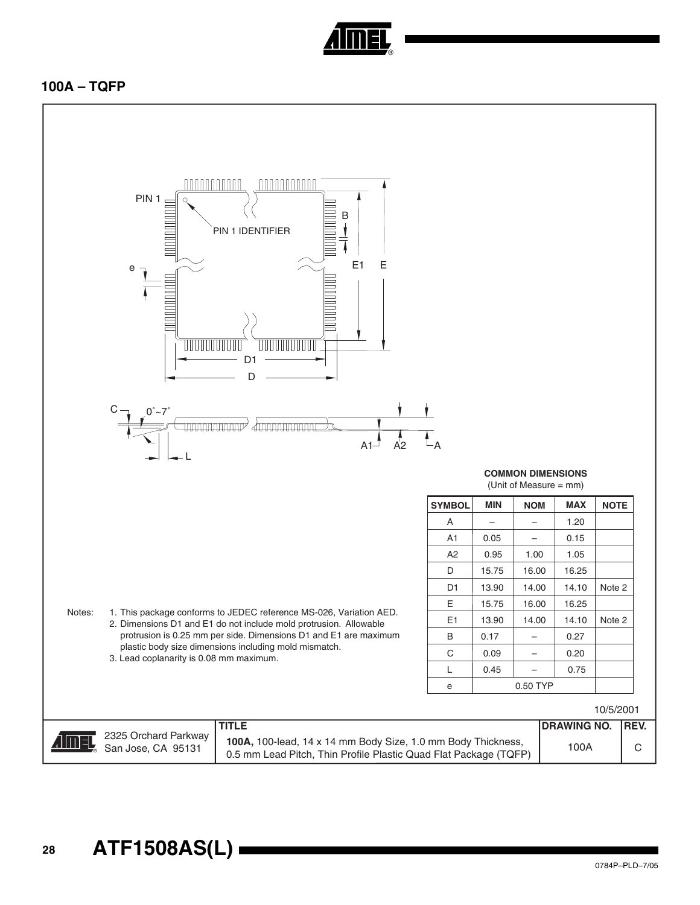

#### **100A – TQFP**

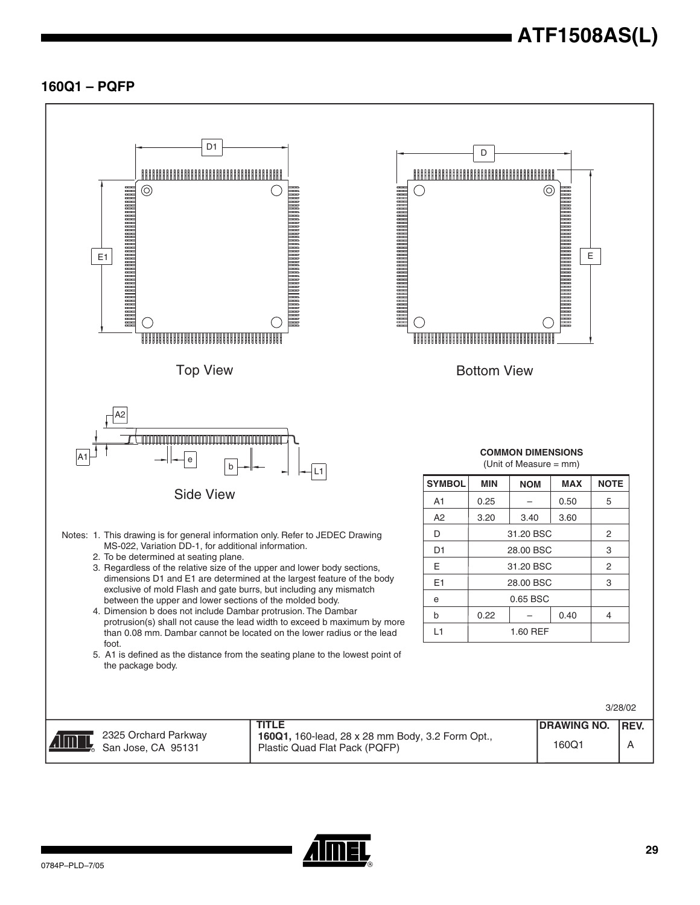#### **160Q1 – PQFP**



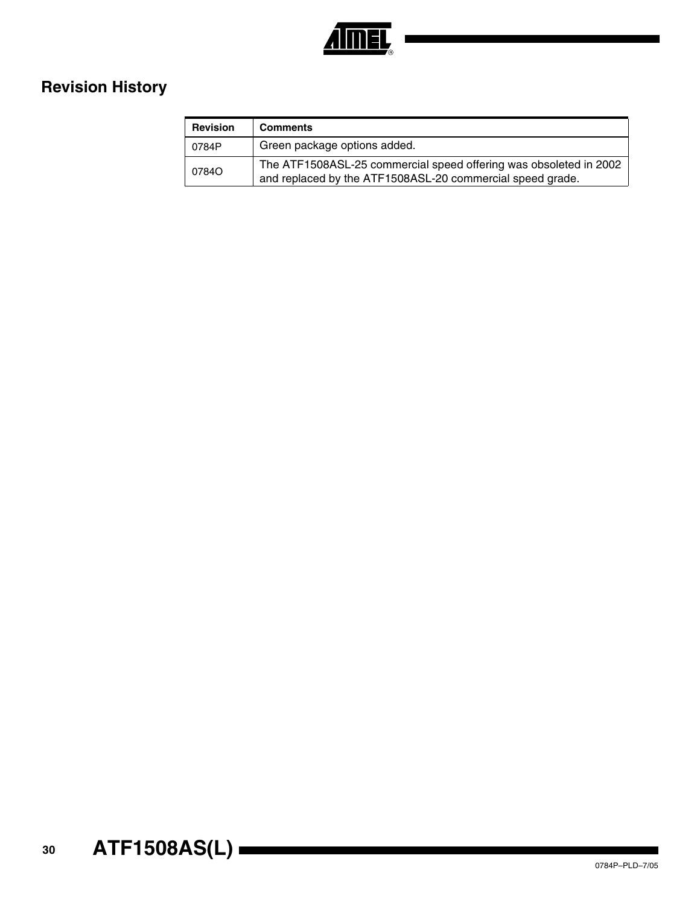

## **Revision History**

| <b>Revision</b> | <b>Comments</b>                                                                                                                |
|-----------------|--------------------------------------------------------------------------------------------------------------------------------|
| 0784P           | Green package options added.                                                                                                   |
| 07840           | The ATF1508ASL-25 commercial speed offering was obsoleted in 2002<br>and replaced by the ATF1508ASL-20 commercial speed grade. |